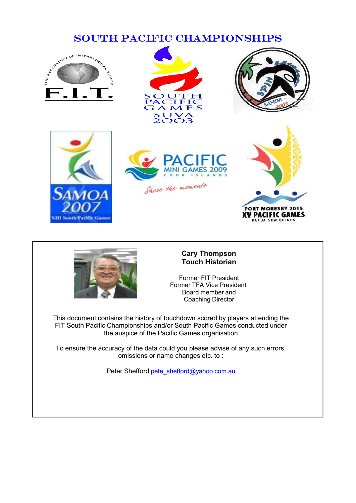













#### Cary Thompson Touch Historian

Former FIT President<br>Former TFA Vice President Board member and Coaching Director

This document contains the history of touchdown scored by players attending the FIT South Pacific Championships and/or South Pacific Games conducted under the auspice of the Pacific Games organisation

To ensure the accuracy of the data could you please advise of any such errors, omissions or name changes etc. to :

Peter Shefford pete\_shefford@yahoo.com.au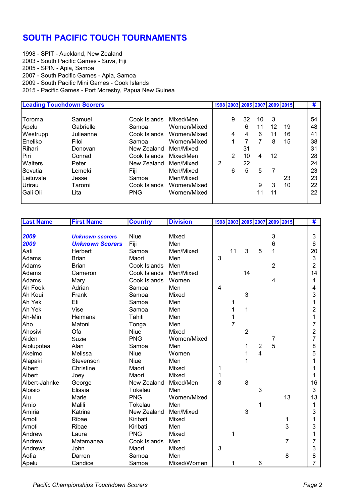# SOUTH PACIFIC TOUCH TOURNAMENTS

1998 - SPIT - Auckland, New Zealand 2003 - South Pacific Games - Suva, Fiji 2005 - SPIN - Apia, Samoa 2007 - South Pacific Games - Apia, Samoa 2009 - South Pacific Mini Games - Cook Islands 2015 - Pacific Games - Port Moresby, Papua New Guinea

|                  | <b>Leading Touchdown Scorers</b> |              |             |   |   |    |    |    | 1998   2003   2005   2007   2009   2015 | #  |
|------------------|----------------------------------|--------------|-------------|---|---|----|----|----|-----------------------------------------|----|
| Toroma           | Samuel                           | Cook Islands | Mixed/Men   |   | 9 | 32 | 10 | 3  |                                         | 54 |
| Apelu            | Gabrielle                        | Samoa        | Women/Mixed |   |   | 6  | 11 | 12 | 19                                      | 48 |
| Westrupp         | Julieanne                        | Cook Islands | Women/Mixed |   | 4 | 4  | 6  | 11 | 16                                      | 41 |
| Eneliko          | Filoi                            | Samoa        | Women/Mixed |   |   | 7  | 7  | 8  | 15                                      | 38 |
| Rihari           | Donovan                          | New Zealand  | Men/Mixed   |   |   | 31 |    |    |                                         | 31 |
| Piri             | Conrad                           | Cook Islands | Mixed/Men   |   | 2 | 10 | 4  | 12 |                                         | 28 |
| <b>Walters</b>   | Peter                            | New Zealand  | Men/Mixed   | 2 |   | 22 |    |    |                                         | 24 |
| Sevutia          | Lemeki                           | Fiji         | Men/Mixed   |   | 6 | 5  | 5  |    |                                         | 23 |
| <b>Leituvale</b> | Jesse                            | Samoa        | Men/Mixed   |   |   |    |    |    | 23                                      | 23 |
| Urirau           | Taromi                           | Cook Islands | Women/Mixed |   |   |    | 9  | 3  | 10                                      | 22 |
| Gali Oli         | Lita                             | <b>PNG</b>   | Women/Mixed |   |   |    | 11 | 11 |                                         | 22 |

| <b>Last Name</b> | <b>First Name</b>      | <b>Country</b> | <b>Division</b> |   |                |                |                  | 1998 2003 2005 2007 2009 2015 |    | #              |
|------------------|------------------------|----------------|-----------------|---|----------------|----------------|------------------|-------------------------------|----|----------------|
|                  |                        |                |                 |   |                |                |                  |                               |    |                |
| 2009             | <b>Unknown scorers</b> | <b>Niue</b>    | Mixed           |   |                |                |                  | $\ensuremath{\mathsf{3}}$     |    | 3              |
| 2009             | <b>Unknown Scorers</b> | Fiji           | Men             |   |                |                |                  | $\,6$                         |    | 6              |
| Aati             | Herbert                | Samoa          | Men/Mixed       |   | 11             | 3              | 5                | 1                             |    | 20             |
| Adams            | <b>Brian</b>           | Maori          | Men             | 3 |                |                |                  |                               |    | 3              |
| Adams            | <b>Brian</b>           | Cook Islands   | Men             |   |                |                |                  | $\overline{2}$                |    | $\overline{2}$ |
| Adams            | Cameron                | Cook Islands   | Men/Mixed       |   |                | 14             |                  |                               |    | 14             |
| Adams            | Mary                   | Cook Islands   | Women           |   |                |                |                  | $\overline{4}$                |    | 4              |
| Ah Fook          | Adrian                 | Samoa          | Men             | 4 |                |                |                  |                               |    | 4              |
| Ah Koui          | Frank                  | Samoa          | Mixed           |   |                | 3              |                  |                               |    | 3              |
| Ah Yek           | Eti                    | Samoa          | Men             |   | 1              |                |                  |                               |    | 1              |
| Ah Yek           | Vise                   | Samoa          | Men             |   | 1              | 1              |                  |                               |    | 2              |
| Ah-Min           | Heimana                | Tahiti         | Men             |   | 1              |                |                  |                               |    | 1              |
| Aho              | Matoni                 | Tonga          | Men             |   | $\overline{7}$ |                |                  |                               |    | 7              |
| Ahosivi          | Ofa                    | Niue           | Mixed           |   |                | $\overline{2}$ |                  |                               |    | 2              |
| Aiden            | Suzie                  | <b>PNG</b>     | Women/Mixed     |   |                |                |                  | 7                             |    | 7              |
| Aiolupotea       | Alan                   | Samoa          | Men             |   |                | 1              | $\boldsymbol{2}$ | 5                             |    | 8              |
| Akeimo           | Melissa                | <b>Niue</b>    | Women           |   |                | 1              | $\overline{4}$   |                               |    | 5              |
| Alapaki          | Stevenson              | <b>Niue</b>    | Men             |   |                | 1              |                  |                               |    |                |
| Albert           | Christine              | Maori          | Mixed           | 1 |                |                |                  |                               |    |                |
| Albert           | Joey                   | Maori          | Mixed           | 1 |                |                |                  |                               |    |                |
| Albert-Jahnke    | George                 | New Zealand    | Mixed/Men       | 8 |                | 8              |                  |                               |    | 16             |
| Aloisio          | Elisaia                | Tokelau        | Men             |   |                |                | 3                |                               |    | 3              |
| Alu              | Marie                  | <b>PNG</b>     | Women/Mixed     |   |                |                |                  |                               | 13 | 13             |
| Amio             | Malili                 | Tokelau        | Men             |   |                |                | 1                |                               |    | 1              |
| Amiria           | Katrina                | New Zealand    | Men/Mixed       |   |                | 3              |                  |                               |    | 3              |
| Amoti            | Ribae                  | Kiribati       | Mixed           |   |                |                |                  |                               | 1  |                |
| Amoti            | Ribae                  | Kiribati       | Men             |   |                |                |                  |                               | 3  | 3              |
| Andrew           | Laura                  | <b>PNG</b>     | Mixed           |   | 1              |                |                  |                               |    |                |
| Andrew           | Matamanea              | Cook Islands   | Men             |   |                |                |                  |                               | 7  | 7              |
| Andrews          | John                   | Maori          | Mixed           | 3 |                |                |                  |                               |    | 3              |
| Aofia            | Darren                 | Samoa          | Men             |   |                |                |                  |                               | 8  | 8              |
| Apelu            | Candice                | Samoa          | Mixed/Women     |   |                |                | 6                |                               |    | 7              |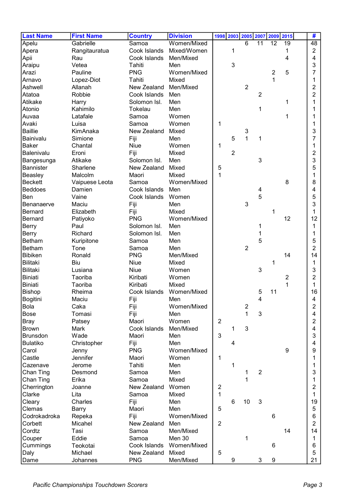| <b>Last Name</b> | <b>First Name</b> | <b>Country</b> | <b>Division</b> |                                | 1998 2003 2005 2007 |                     |                | 2009           | 2015 | #                |
|------------------|-------------------|----------------|-----------------|--------------------------------|---------------------|---------------------|----------------|----------------|------|------------------|
| Apelu            | Gabrielle         | Samoa          | Women/Mixed     |                                |                     | $6\phantom{1}$      | 11             | 12             | 19   | 48               |
| Apera            | Rangitauratua     | Cook Islands   | Mixed/Women     |                                | 1                   |                     |                |                | 1    | $\overline{2}$   |
| Apii             | Rau               | Cook Islands   | Men/Mixed       |                                |                     |                     |                |                | 4    | 4                |
| Araipu           | Vetea             | Tahiti         | Men             |                                | 3                   |                     |                |                |      | 3                |
| Arazi            | Pauline           | <b>PNG</b>     | Women/Mixed     |                                |                     |                     |                | $\overline{2}$ | 5    | 7                |
| Arnavo           | Lopez-Diot        | Tahiti         | Mixed           |                                |                     |                     |                | 1              |      | 1                |
| Ashwell          | Allanah           | New Zealand    | Men/Mixed       |                                |                     | $\overline{2}$      |                |                |      | 2                |
| Atatoa           | Robbie            | Cook Islands   | Men             |                                |                     |                     | $\overline{2}$ |                |      | 2                |
| Atikake          | Harry             | Solomon Isl.   | Men             |                                |                     |                     |                |                | 1    | 1                |
| Atonio           | Kahimilo          | Tokelau        | Men             |                                |                     |                     | 1              |                |      |                  |
| Auvaa            | Latafale          | Samoa          | Women           |                                |                     |                     |                |                | 1    |                  |
|                  |                   |                | Women           |                                |                     |                     |                |                |      |                  |
| Avaki            | Luisa             | Samoa          |                 | 1                              |                     |                     |                |                |      | 1                |
| <b>Baillie</b>   | KimAnaka          | New Zealand    | Mixed           |                                |                     | 3<br>$\overline{1}$ |                |                |      | 3                |
| Bainivalu        | Simione           | Fiji           | Men             |                                | 5                   |                     | 1              |                |      | 7                |
| <b>Baker</b>     | Chantal           | Niue           | Women           | 1                              |                     |                     |                |                |      |                  |
| Balenivalu       | Eroni             | Fiji           | Mixed           |                                | $\overline{2}$      |                     |                |                |      | 2                |
| Bangesunga       | Atikake           | Solomon Isl.   | Men             |                                |                     |                     | 3              |                |      | 3                |
| <b>Bannister</b> | Sharlene          | New Zealand    | Mixed           | 5                              |                     |                     |                |                |      | 5                |
| Beasley          | Malcolm           | Maori          | Mixed           | $\mathbf{1}$                   |                     |                     |                |                |      | 1                |
| <b>Beckett</b>   | Vaipuese Leota    | Samoa          | Women/Mixed     |                                |                     |                     |                |                | 8    | 8                |
| <b>Beddoes</b>   | Damien            | Cook Islands   | Men             |                                |                     |                     | 4              |                |      | 4                |
| Ben              | Vaine             | Cook Islands   | Women           |                                |                     |                     | 5              |                |      | 5                |
| Benanaerve       | Maciu             | Fiji           | Men             |                                |                     | 3                   |                |                |      | 3                |
| <b>Bernard</b>   | Elizabeth         | Fiji           | Mixed           |                                |                     |                     |                |                |      | 1                |
| <b>Bernard</b>   | Patiyoko          | <b>PNG</b>     | Women/Mixed     |                                |                     |                     |                |                | 12   | 12               |
| <b>Berry</b>     | Paul              | Solomon Isl.   | Men             |                                |                     |                     | 1              |                |      | 1                |
| <b>Berry</b>     | Richard           | Solomon Isl.   | Men             |                                |                     |                     | 1              |                |      |                  |
| <b>Betham</b>    | Kuripitone        | Samoa          | Men             |                                |                     |                     | 5              |                |      | 5                |
| <b>Betham</b>    | Tone              | Samoa          | Men             |                                |                     | $\overline{2}$      |                |                |      | $\overline{2}$   |
| <b>Bibiken</b>   | Ronald            | <b>PNG</b>     | Men/Mixed       |                                |                     |                     |                |                | 14   | 14               |
| <b>Bilitaki</b>  | Biu               | <b>Niue</b>    | Mixed           |                                |                     |                     |                | 1              |      | 1                |
| <b>Bilitaki</b>  | Lusiana           | <b>Niue</b>    | Women           |                                |                     |                     | $\mathbf{3}$   |                |      | 3                |
| <b>Biniati</b>   | Taoriba           | Kiribati       | Women           |                                |                     |                     |                |                | 2    | 2                |
| <b>Biniati</b>   | Taoriba           | Kiribati       | Mixed           |                                |                     |                     |                |                | 1    | 1                |
| <b>Bishop</b>    | Rheima            | Cook Islands   | Women/Mixed     |                                |                     |                     | 5              | 11             |      | 16               |
| Bogitini         | Maciu             | Fiji           | Men             |                                |                     |                     | 4              |                |      |                  |
| Bola             | Caka              | Fiji           | Women/Mixed     |                                |                     | $\boldsymbol{2}$    |                |                |      | $\boldsymbol{2}$ |
| <b>Bose</b>      | Tomasi            | Fiji           | Men             |                                |                     | $\mathbf 1$         | 3              |                |      | 4                |
| <b>Bray</b>      | Patsey            | Maori          | Women           | $\overline{2}$                 |                     |                     |                |                |      | $\overline{2}$   |
| <b>Brown</b>     | Mark              | Cook Islands   | Men/Mixed       |                                | 1                   | 3                   |                |                |      | 4                |
| <b>Brunsdon</b>  | Wade              | Maori          | Men             | 3                              |                     |                     |                |                |      | 3                |
| <b>Bulatiko</b>  | Christopher       | Fiji           | Men             |                                | 4                   |                     |                |                |      | 4                |
| Carol            | Jenny             | <b>PNG</b>     | Women/Mixed     |                                |                     |                     |                |                | 9    | 9                |
| Castle           | Jennifer          | Maori          | Women           | 1                              |                     |                     |                |                |      | 1                |
| Cazenave         | Jerome            | Tahiti         | Men             |                                |                     |                     |                |                |      |                  |
|                  | Desmond           | Samoa          | Men             |                                | 1                   | 1                   | $\overline{2}$ |                |      | 1<br>3           |
| Chan Ting        |                   | Samoa          | Mixed           |                                |                     | 1                   |                |                |      |                  |
| Chan Ting        | Erika             |                |                 |                                |                     |                     |                |                |      | 1                |
| Cherrington      | Joanne            | New Zealand    | Women           | $\overline{2}$<br>$\mathbf{1}$ |                     |                     |                |                |      | 2                |
| Clarke           | Lita              | Samoa          | Mixed           |                                |                     |                     |                |                |      | 1                |
| Cleary           | Charles           | Fiji           | Men             |                                | 6                   | 10                  | 3              |                |      | 19               |
| Clemas           | <b>Barry</b>      | Maori          | Men             | 5                              |                     |                     |                |                |      | 5                |
| Codrokadroka     | Repeka            | Fiji           | Women/Mixed     |                                |                     |                     |                | 6              |      | 6                |
| Corbett          | Micahel           | New Zealand    | Men             | $\overline{2}$                 |                     |                     |                |                |      | $\overline{2}$   |
| Cordtz           | Tasi              | Samoa          | Men/Mixed       |                                |                     |                     |                |                | 14   | 14               |
| Couper           | Eddie             | Samoa          | Men 30          |                                |                     | 1                   |                |                |      | 1                |
| Cummings         | Teokotai          | Cook Islands   | Women/Mixed     |                                |                     |                     |                | $\,6$          |      | 6                |
| Daly             | Michael           | New Zealand    | Mixed           | 5                              |                     |                     |                |                |      | 5                |
| Dame             | Johannes          | <b>PNG</b>     | Men/Mixed       |                                | 9                   |                     | 3              | 9              |      | 21               |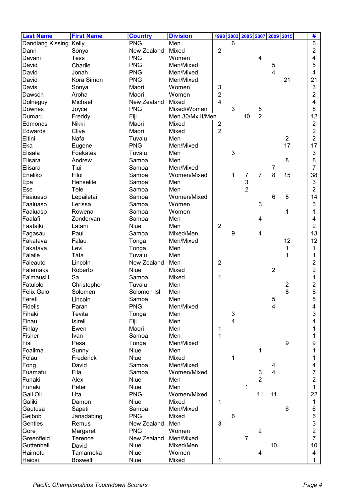| <b>Last Name</b>       | <b>First Name</b> | <b>Country</b> | <b>Division</b>  |                         |                           |                |                | 1998 2003 2005 2007 2009 2015 |                | #              |
|------------------------|-------------------|----------------|------------------|-------------------------|---------------------------|----------------|----------------|-------------------------------|----------------|----------------|
| Dandlang Kissing Kelly |                   | <b>PNG</b>     | Men              |                         | 6                         |                |                |                               |                | 6              |
| Dann                   | Sonya             | New Zealand    | Mixed            | $\overline{2}$          |                           |                |                |                               |                | 2              |
| Davani                 | <b>Tess</b>       | <b>PNG</b>     | Women            |                         |                           |                | 4              |                               |                | 4              |
| David                  | Charlie           | <b>PNG</b>     | Men/Mixed        |                         |                           |                |                | 5                             |                | 5              |
| David                  | Jonah             | <b>PNG</b>     | Men/Mixed        |                         |                           |                |                | $\overline{\mathbf{4}}$       |                | 4              |
| David                  | Kora Simon        | <b>PNG</b>     | Men/Mixed        |                         |                           |                |                |                               | 21             | 21             |
| Davis                  | Sonya             | Maori          | Women            | 3                       |                           |                |                |                               |                | 3              |
| Dawson                 | Aroha             | Maori          | Women            | 2                       |                           |                |                |                               |                | 2              |
| Dolneguy               | Michael           | New Zealand    | Mixed            | 4                       |                           |                |                |                               |                | 4              |
| Downes                 | Joyce             | <b>PNG</b>     | Mixed/Women      |                         | 3                         |                | 5              |                               |                | 8              |
| Dumaru                 | Freddy            | Fiji           | Men 30/Mx II/Men |                         |                           | 10             | $\overline{2}$ |                               |                | 12             |
| Edmonds                | Nikki             | Maori          | Mixed            | $\overline{\mathbf{c}}$ |                           |                |                |                               |                | $\overline{2}$ |
| Edwards                | Clive             | Maori          | Mixed            | $\overline{2}$          |                           |                |                |                               |                | $\overline{2}$ |
| Eitini                 | Nafa              | Tuvalu         | Men              |                         |                           |                |                |                               | $\overline{2}$ | 2              |
| Eka                    | Eugene            | <b>PNG</b>     | Men/Mixed        |                         |                           |                |                |                               | 17             | 17             |
| Elisala                | Foekatea          | Tuvalu         | Men              |                         | 3                         |                |                |                               |                | 3              |
| Elisara                | Andrew            | Samoa          | Men              |                         |                           |                |                |                               | 8              | 8              |
| Elisara                | Tiui              | Samoa          | Men/Mixed        |                         |                           |                |                | 7                             |                | 7              |
| Eneliko                | Filoi             | Samoa          | Women/Mixed      |                         | 1                         | 7              | $\overline{7}$ | 8                             | 15             | 38             |
| Epa                    | Henselite         | Samoa          | Men              |                         |                           | 3              |                |                               |                | 3              |
| Ese                    | Tele              | Samoa          | Men              |                         |                           | $\overline{2}$ |                |                               |                | 2              |
| Faaiuaso               | Lepailetai        | Samoa          | Women/Mixed      |                         |                           |                |                | 6                             | 8              | 14             |
| Faaiuaso               | Lerissa           | Samoa          | Women            |                         |                           |                | 3              |                               |                | 3              |
| Faaiuaso               | Rowena            | Samoa          | Women            |                         |                           |                |                |                               | 1              | 1              |
| Faalafi                | Zondervan         | Samoa          | Men              |                         |                           |                | 4              |                               |                | 4              |
| Faataiki               | Latani            | Niue           | Men              | $\overline{2}$          |                           |                |                |                               |                | 2              |
| Fagasau                | Paul              | Samoa          | Mixed/Men        |                         | 9                         |                | 4              |                               |                | 13             |
| Fakatava               | Falau             | Tonga          | Men/Mixed        |                         |                           |                |                |                               | 12             | 12             |
| Fakatava               | Levi              | Tonga          | Men              |                         |                           |                |                |                               | 1              | 1              |
| Falaile                | Tata              | Tuvalu         | Men              |                         |                           |                |                |                               | 1              | 1              |
| Faleauto               | Lincoln           | New Zealand    | Men              | $\overline{2}$          |                           |                |                |                               |                | 2              |
| Falemaka               | Roberto           | Niue           | Mixed            |                         |                           |                |                | $\overline{2}$                |                | 2              |
| Fa'mausili             | Sa                | Samoa          | Mixed            | 1                       |                           |                |                |                               |                | 1              |
| Fatulolo               | Christopher       | Tuvalu         | Men              |                         |                           |                |                |                               | 2              | 2              |
| <b>Felix Galo</b>      | Solomen           | Solomon Isl.   | Men              |                         |                           |                |                |                               | 8              | 8              |
| Fereti                 | Lincoln           | Samoa          | Men              |                         |                           |                |                | 5                             |                | 5              |
| Fidelis                | Paran             | <b>PNG</b>     | Men/Mixed        |                         |                           |                |                | 4                             |                | 4              |
| Fihaki                 | Tevita            | Tonga          | Men              |                         | $\ensuremath{\mathsf{3}}$ |                |                |                               |                | 3              |
| Finau                  | Isireli           | Fiji           | Men              |                         | $\overline{4}$            |                |                |                               |                | 4              |
| Finlay                 | Ewen              | Maori          | Men              | 1                       |                           |                |                |                               |                |                |
| Fisher                 | Ivan              | Samoa          | Men              | $\mathbf{1}$            |                           |                |                |                               |                |                |
| Fisi                   | Pasa              | Tonga          | Men/Mixed        |                         |                           |                |                |                               | 9              | 9              |
| Foalima                | Sunny             | Niue           | Men              |                         |                           |                | 1              |                               |                | 1              |
| Folau                  | Frederick         | Niue           | Mixed            |                         | 1                         |                |                |                               |                | 1              |
| Fong                   | David             | Samoa          | Men/Mixed        |                         |                           |                |                | 4                             |                | 4              |
| Fuamatu                | Fila              | Samoa          | Women/Mixed      |                         |                           |                | 3              | $\overline{4}$                |                | 7              |
| Funaki                 | Alex              | Niue           | Men              |                         |                           |                | $\overline{2}$ |                               |                | $\overline{2}$ |
| Funaki                 | Peter             | Niue           | Men              |                         |                           | 1              |                |                               |                | 1              |
| Gali Oli               | Lita              | <b>PNG</b>     | Women/Mixed      |                         |                           |                | 11             | 11                            |                | 22             |
| Galiki                 | Damon             | Niue           | Mixed            | 1                       |                           |                |                |                               |                | 1              |
| Gautusa                | Sapati            | Samoa          | Men/Mixed        |                         |                           |                |                |                               | 6              | 6              |
| Geibob                 | Janadabing        | <b>PNG</b>     | Mixed            |                         | $6\phantom{1}6$           |                |                |                               |                | 6              |
| Gentles                | Remus             | New Zealand    | Men              | 3                       |                           |                |                |                               |                | 3              |
| Gore                   | Margaret          | <b>PNG</b>     | Women            |                         |                           |                | $\overline{2}$ |                               |                | 2              |
| Greenfield             | Terence           | New Zealand    | Men/Mixed        |                         |                           | $\overline{7}$ |                |                               |                | 7              |
| Guttenbeil             | David             | Niue           | Mixed/Men        |                         |                           |                |                | 10                            |                | 10             |
| Haimotu                | Tamamoka          | Niue           | Women            |                         |                           |                | 4              |                               |                | 4              |
| Haiosi                 | <b>Boswell</b>    | Niue           | Mixed            | 1                       |                           |                |                |                               |                | 1.             |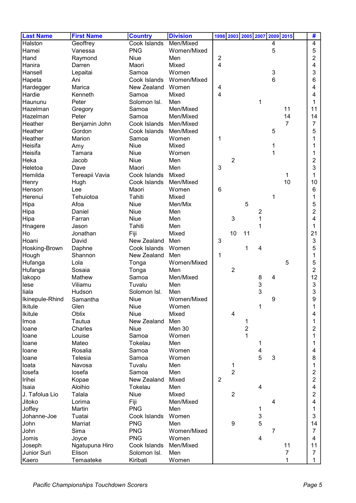| <b>Last Name</b> | <b>First Name</b> | <b>Country</b> | <b>Division</b> |                |                         | 1998 2003 2005 2007 |                |   | 2009 2015      | #              |
|------------------|-------------------|----------------|-----------------|----------------|-------------------------|---------------------|----------------|---|----------------|----------------|
| Halston          | Geoffrey          | Cook Islands   | Men/Mixed       |                |                         |                     |                | 4 |                | 4              |
| Hamei            | Vanessa           | <b>PNG</b>     | Women/Mixed     |                |                         |                     |                | 5 |                | 5              |
| Hand             | Raymond           | Niue           | Men             | $\overline{c}$ |                         |                     |                |   |                | 2              |
| Hanira           | Darren            | Maori          | Mixed           | $\overline{4}$ |                         |                     |                |   |                | 4              |
| Hansell          | Lepaitai          | Samoa          | Women           |                |                         |                     |                | 3 |                | 3              |
| Hapeta           | Ani               | Cook Islands   | Women/Mixed     |                |                         |                     |                | 6 |                | 6              |
| Hardegger        | Marica            | New Zealand    | Women           | 4              |                         |                     |                |   |                | 4              |
| Hardie           | Kenneth           | Samoa          | Mixed           | 4              |                         |                     |                |   |                | 4              |
| Haununu          | Peter             | Solomon Isl.   | Men             |                |                         |                     | 1              |   |                | 1              |
| Hazelman         | Gregory           | Samoa          | Men/Mixed       |                |                         |                     |                |   | 11             | 11             |
| Hazelman         | Peter             | Samoa          | Men/Mixed       |                |                         |                     |                |   | 14             | 14             |
| Heather          | Benjamin John     | Cook Islands   | Men/Mixed       |                |                         |                     |                |   | $\overline{7}$ | 7              |
| Heather          | Gordon            | Cook Islands   | Men/Mixed       |                |                         |                     |                | 5 |                | 5              |
| Heather          | Marion            | Samoa          | Women           | 1              |                         |                     |                |   |                |                |
| Heisifa          | Amy               | <b>Niue</b>    | Mixed           |                |                         |                     |                | 1 |                |                |
| Heisifa          | Tamara            | <b>Niue</b>    | Women           |                |                         |                     |                |   |                |                |
| Heka             | Jacob             | Niue           | Men             |                | $\overline{2}$          |                     |                |   |                | 2              |
| Heletoa          | Dave              | Maori          | Men             | 3              |                         |                     |                |   |                | 3              |
| Hemilda          | Tereapii Vavia    | Cook Islands   | Mixed           |                |                         |                     |                |   | 1              | 1              |
| Henry            | Hugh              | Cook Islands   | Men/Mixed       |                |                         |                     |                |   | 10             | 10             |
| Henson           | Lee               | Maori          | Women           | 6              |                         |                     |                |   |                | 6              |
| Herenui          | Tehuiotoa         | Tahiti         | Mixed           |                |                         |                     |                | 1 |                | 1              |
| Hipa             | Afoa              | Niue           | Men/Mix         |                |                         | 5                   |                |   |                | 5              |
| Hipa             | Daniel            | <b>Niue</b>    | Men             |                |                         |                     | 2              |   |                | 2              |
| Hipa             | Farran            | <b>Niue</b>    | Men             |                | 3                       |                     | 1              |   |                | 4              |
| Hnagere          | Jason             | Tahiti         | Men             |                |                         |                     | 1              |   |                |                |
| Ho               | Jonathan          | Fiji           | Mixed           |                | 10                      | 11                  |                |   |                | 21             |
| Hoani            | David             | New Zealand    | Men             | 3              |                         |                     |                |   |                | 3              |
| Hosking-Brown    | Daphne            | Cook Islands   | Women           |                |                         | 1                   | 4              |   |                | 5              |
| Hough            | Shannon           | New Zealand    | Men             | 1              |                         |                     |                |   |                |                |
| Hufanga          | Lola              | Tonga          | Women/Mixed     |                |                         |                     |                |   | 5              | 5              |
| Hufanga          | Sosaia            | Tonga          | Men             |                | $\overline{2}$          |                     |                |   |                | 2              |
| lakopo           | Mathew            | Samoa          | Men/Mixed       |                |                         |                     | 8              | 4 |                | 12             |
| lese             | Viliamu           | Tuvalu         | Men             |                |                         |                     |                |   |                | 3              |
| liala            | Hudson            | Solomon Isl.   | Men             |                |                         |                     | $\frac{3}{3}$  |   |                | 3              |
| Ikinepule-Rhind  | Samantha          | Niue           | Women/Mixed     |                |                         |                     |                | 9 |                | a              |
| <b>Ikitule</b>   | Glen              | Niue           | Women           |                |                         |                     | 1              |   |                | 1              |
| <b>Ikitule</b>   | Oblix             | Niue           | Mixed           |                | $\overline{\mathbf{4}}$ |                     |                |   |                | 4              |
| Imoa             | Tautua            | New Zealand    | Men             |                |                         | 1                   |                |   |                | 1              |
| loane            | Charles           | Niue           | Men 30          |                |                         | $\overline{c}$      |                |   |                | 2              |
| loane            | Louise            | Samoa          | Women           |                |                         | 1                   |                |   |                | 1              |
| loane            | Mateo             | Tokelau        | Men             |                |                         |                     | 1              |   |                | 1              |
| loane            | Rosalia           | Samoa          | Women           |                |                         |                     | 4              |   |                | 4              |
| loane            | Telesia           | Samoa          | Women           |                |                         |                     | $\overline{5}$ | 3 |                | 8              |
| loata            | Navosa            | Tuvalu         | Men             |                |                         |                     |                |   |                | 1              |
| losefa           | losefa            | Samoa          | Men             |                | 1<br>$\overline{2}$     |                     |                |   |                | 2              |
|                  |                   | New Zealand    | Mixed           | $\overline{2}$ |                         |                     |                |   |                | $\overline{2}$ |
| Irihei           | Kopae             |                |                 |                |                         |                     | 4              |   |                | 4              |
| Isaia            | Aloihio<br>Talala | Tokelau        | Men<br>Mixed    |                | $\overline{2}$          |                     |                |   |                |                |
| J. Tafolua Lio   |                   | Niue           |                 |                |                         |                     |                |   |                | 2              |
| Jitoko           | Lorima            | Fiji           | Men/Mixed       |                |                         |                     |                | 4 |                | 4              |
| Joffey           | Martin            | <b>PNG</b>     | Men             |                |                         |                     | 1              |   |                | 1              |
| Johanne-Joe      | Tuatai            | Cook Islands   | Women           |                |                         |                     | $\mathbf{3}$   |   |                | 3              |
| John             | Marriat           | <b>PNG</b>     | Men             |                | $\boldsymbol{9}$        |                     | 5              |   |                | 14             |
| John             | Sima              | <b>PNG</b>     | Women/Mixed     |                |                         |                     |                | 7 |                | 7              |
| Jomis            | Joyce             | <b>PNG</b>     | Women           |                |                         |                     | $\overline{4}$ |   |                | 4              |
| Joseph           | Ngatupuna Hiro    | Cook Islands   | Men/Mixed       |                |                         |                     |                |   | 11             | 11             |
| Junior Suri      | Elison            | Solomon Isl.   | Men             |                |                         |                     |                |   | 7              | 7              |
| Kaero            | Temaateke         | Kiribati       | Women           |                |                         |                     |                |   | 1              | $\mathbf{1}$   |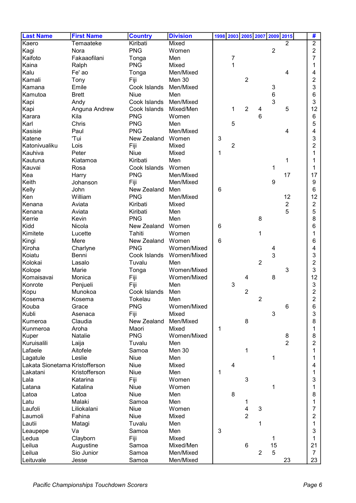| <b>Last Name</b>                           | <b>First Name</b> | <b>Country</b>  | <b>Division</b> | 1998 2003 2005 2007 2009 2015 |                |                |                |                |                     | #              |
|--------------------------------------------|-------------------|-----------------|-----------------|-------------------------------|----------------|----------------|----------------|----------------|---------------------|----------------|
| Kaero                                      | Temaateke         | Kiribati        | Mixed           |                               |                |                |                |                | $\overline{2}$      | $\overline{2}$ |
| Kagi                                       | Nora              | <b>PNG</b>      | Women           |                               |                |                |                | $\overline{2}$ |                     | $\overline{2}$ |
| Kaifoto                                    | Fakaaofilani      | Tonga           | Men             |                               | 7              |                |                |                |                     | 7              |
| Kaina                                      | Ralph             | <b>PNG</b>      | Mixed           |                               | 1              |                |                |                |                     | 1              |
| Kalu                                       | Fe' ao            | Tonga           | Men/Mixed       |                               |                |                |                |                | 4                   | 4              |
| Kamali                                     | Tony              | Fiji            | Men 30          |                               |                | 2              |                |                |                     | 2              |
| Kamana                                     | Emile             | Cook Islands    | Men/Mixed       |                               |                |                |                | 3              |                     | 3              |
| Kamutoa                                    | <b>Brett</b>      | <b>Niue</b>     | Men             |                               |                |                |                | $\,6$          |                     | 6              |
| Kapi                                       | Andy              | Cook Islands    | Men/Mixed       |                               |                |                |                | 3              |                     | 3              |
| Kapi                                       | Anguna Andrew     | Cook Islands    | Mixed/Men       |                               | 1              | $\overline{2}$ | 4              |                | 5                   | 12             |
| Karara                                     | Kila              | <b>PNG</b>      | Women           |                               |                |                | 6              |                |                     | 6              |
| Karl                                       | Chris             | <b>PNG</b>      | Men             |                               | 5              |                |                |                |                     | 5              |
| Kasisie                                    | Paul              | <b>PNG</b>      | Men/Mixed       |                               |                |                |                |                | 4                   | 4              |
| Katene                                     | 'Tui              | New Zealand     | Women           | 3                             |                |                |                |                |                     | 3              |
| Katonivualiku                              | Lois              | Fiji            | Mixed           |                               | $\overline{2}$ |                |                |                |                     | 2              |
| Kauhiva                                    | Peter             | Niue            | Mixed           | $\mathbf 1$                   |                |                |                |                |                     | 1              |
| Kautuna                                    | Kiatamoa          | Kiribati        | Men             |                               |                |                |                |                | 1                   |                |
| Kauvai                                     | Rosa              | Cook Islands    | Women           |                               |                |                |                | 1              |                     | 1              |
| Kea                                        | Harry             | <b>PNG</b>      | Men/Mixed       |                               |                |                |                |                | 17                  | 17             |
| Keith                                      | Johanson          | Fiji            | Men/Mixed       |                               |                |                |                | 9              |                     | 9              |
| Kelly                                      | John              | New Zealand     | Men             | 6                             |                |                |                |                |                     | 6              |
| Ken                                        | William           | <b>PNG</b>      | Men/Mixed       |                               |                |                |                |                | 12                  | 12             |
| Kenana                                     | Aviata            | Kiribati        | Mixed           |                               |                |                |                |                | $\overline{2}$      | $\overline{2}$ |
|                                            | Aviata            |                 | Men             |                               |                |                |                |                | 5                   | 5              |
| Kenana                                     |                   | Kiribati        |                 |                               |                |                |                |                |                     |                |
| Kerrie                                     | Kevin             | <b>PNG</b>      | Men             |                               |                |                | 8              |                |                     | 8              |
| Kidd                                       | Nicola            | New Zealand     | Women           | 6                             |                |                |                |                |                     | 6              |
| Kimitete                                   | Lucette           | Tahiti          | Women           |                               |                |                | $\mathbf{1}$   |                |                     |                |
| Kingi                                      | Mere              | New Zealand     | Women           | 6                             |                |                |                |                |                     | 6              |
| Kiroha                                     | Charlyne          | <b>PNG</b>      | Women/Mixed     |                               |                |                |                | 4<br>3         |                     | 4              |
| Koiatu                                     | Benni             | Cook Islands    | Women/Mixed     |                               |                |                |                |                |                     | 3              |
| Kolokai                                    | Lasalo            | Tuvalu          | Men             |                               |                |                | $\overline{2}$ |                |                     | 2              |
| Kolope                                     | Marie             | Tonga           | Women/Mixed     |                               |                |                |                |                | 3                   | 3              |
| Komaisavai                                 | Monica            | Fiji            | Women/Mixed     |                               |                | 4              |                | 8              |                     | 12             |
| Konrote                                    | Penjueli          | Fiji            | Men             |                               | 3              |                |                |                |                     | $\sqrt{3}$     |
| Kopu                                       | Munokoa           | Cook Islands    | Men             |                               |                | $\overline{2}$ |                |                |                     | 2              |
| Kosema                                     | Kosema            | Tokelau         | Men             |                               |                |                | $\overline{c}$ |                |                     | 2              |
| Kouba                                      | Grace             | <b>PNG</b>      | Women/Mixed     |                               |                |                |                |                | $\,6$               | 6              |
| Kubli                                      | Asenaca           | Fiji            | Mixed           |                               |                |                |                | 3              |                     | 3              |
| Kumeroa                                    | Claudia           | New Zealand     | Men/Mixed       |                               |                | 8              |                |                |                     | 8              |
| Kunmeroa                                   | Aroha             | Maori           | Mixed           | $\mathbf 1$                   |                |                |                |                |                     | 1              |
| Kuper<br>Kuruisalili                       | Natalie           | <b>PNG</b>      | Women/Mixed     |                               |                |                |                |                | 8<br>$\overline{2}$ | 8              |
|                                            | Laija             | Tuvalu<br>Samoa | Men             |                               |                |                |                |                |                     | 2              |
| Lafaele                                    | Aitofele          |                 | Men 30          |                               |                | 1              |                |                |                     | 1              |
| Lagatule                                   | Leslie            | Niue            | Men             |                               |                |                |                | 1              |                     | 1              |
| Lakata Sionetama Kristofferson<br>Lakatani | Kristofferson     | Niue<br>Niue    | Mixed<br>Men    | 1                             | $\overline{4}$ |                |                |                |                     | 4              |
| Lala                                       | Katarina          |                 | Women           |                               |                | $\mathbf{3}$   |                |                |                     | 1<br>3         |
| Latana                                     | Katalina          | Fiji<br>Niue    | Women           |                               |                |                |                | 1              |                     |                |
| Latoa                                      | Latoa             | Niue            | Men             |                               | $\bf 8$        |                |                |                |                     | 8              |
| Latu                                       | Malaki            | Samoa           | Men             |                               |                |                |                |                |                     |                |
| Laufoli                                    | Liliokalani       | Niue            | Women           |                               |                | 1<br>4         | 3              |                |                     | 7              |
| Laumoli                                    | Fahina            | Niue            | Mixed           |                               |                | $\overline{2}$ |                |                |                     | 2              |
| Lautii                                     | Matagi            | Tuvalu          | Men             |                               |                |                | 1              |                |                     | 1              |
| Leaupepe                                   | Va                | Samoa           | Men             | 3                             |                |                |                |                |                     | 3              |
| Ledua                                      | Clayborn          | Fiji            | Mixed           |                               |                |                |                | 1              |                     | 1              |
| Leilua                                     | Augustine         | Samoa           | Mixed/Men       |                               |                | $\,6$          |                | 15             |                     | 21             |
| Leilua                                     | Sio Junior        | Samoa           | Men/Mixed       |                               |                |                | $\overline{2}$ | 5              |                     | $\overline{7}$ |
| Leituvale                                  | Jesse             | Samoa           | Men/Mixed       |                               |                |                |                |                | 23                  | 23             |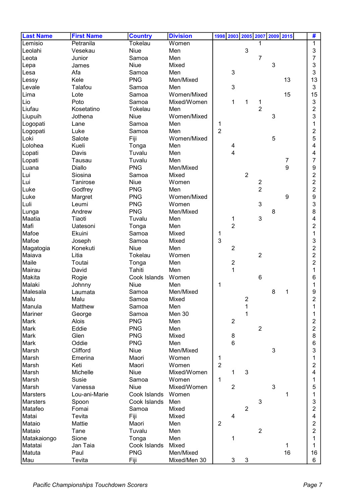| <b>Last Name</b> | <b>First Name</b> | <b>Country</b> | <b>Division</b> | 1998 2003 2005 2007 2009 2015 |                |                |            |                | #              |
|------------------|-------------------|----------------|-----------------|-------------------------------|----------------|----------------|------------|----------------|----------------|
| Lemisio          | Petranila         | Tokelau        | Women           |                               |                | 1              |            |                | 1              |
| Leolahi          | Vesekau           | Niue           | Men             |                               | 3              |                |            |                | 3              |
| Leota            | Junior            | Samoa          | Men             |                               |                | $\overline{7}$ |            |                | 7              |
| Lepa             | James             | Niue           | Mixed           |                               |                |                | 3          |                | 3              |
| Lesa             | Afa               | Samoa          | Men             | 3                             |                |                |            |                | 3              |
| Lessy            | Kele              | <b>PNG</b>     | Men/Mixed       |                               |                |                |            | 13             | 13             |
| Levale           | Talafou           | Samoa          | Men             | 3                             |                |                |            |                | 3              |
| Lima             | Lote              | Samoa          | Women/Mixed     |                               |                |                |            | 15             | 15             |
| Lio              | Poto              | Samoa          | Mixed/Women     | 1                             | 1              | 1              |            |                | 3              |
| Liufau           | Kosetatino        | Tokelau        | Men             |                               |                | $\overline{2}$ |            |                | 2              |
| Liupuih          | Jothena           | <b>Niue</b>    | Women/Mixed     |                               |                |                | 3          |                | 3              |
| Logopati         | Lane              | Samoa          | Men             | 1                             |                |                |            |                |                |
| Logopati         | Luke              | Samoa          | Men             | $\overline{2}$                |                |                |            |                | 2              |
| Loki             | Salote            | Fiji           | Women/Mixed     |                               |                |                | 5          |                | 5              |
| Lolohea          | Kueli             | Tonga          | Men             | 4                             |                |                |            |                | 4              |
| Lopati           | Davis             | Tuvalu         | Men             | 4                             |                |                |            |                | 4              |
| Lopati           | Tausau            | Tuvalu         | Men             |                               |                |                |            | $\overline{7}$ | 7              |
| Luana            | Diallo            | <b>PNG</b>     | Men/Mixed       |                               |                |                |            | 9              | 9              |
| Lui              | Siosina           | Samoa          | Mixed           |                               | $\overline{2}$ |                |            |                | 2              |
| Lui              | Tanirose          | Niue           | Women           |                               |                | $\overline{2}$ |            |                | 2              |
| Luke             | Godfrey           | <b>PNG</b>     | Men             |                               |                | $\overline{2}$ |            |                | $\overline{c}$ |
| Luke             | Margret           | <b>PNG</b>     | Women/Mixed     |                               |                |                |            | 9              | 9              |
| Luli             | Leumi             | <b>PNG</b>     | Women           |                               |                | 3              |            |                | 3              |
| Lunga            | Andrew            | <b>PNG</b>     | Men/Mixed       |                               |                |                | 8          |                | 8              |
| Maatia           | Tiaoti            | Tuvalu         | Men             | 1                             |                | $\mathbf{3}$   |            |                | 4              |
| Mafi             | Uatesoni          | Tonga          | Men             | $\overline{2}$                |                |                |            |                | 2              |
| Mafoe            | Ekuini            | Samoa          | Mixed           | 1                             |                |                |            |                |                |
| Mafoe            | Joseph            | Samoa          | Mixed           | $\overline{3}$                |                |                |            |                | 3              |
| Magatogia        | Konekuti          | Niue           | Men             | $\overline{2}$                |                |                |            |                | 2              |
| Maiava           | Litia             | Tokelau        | Women           |                               |                | $\overline{2}$ |            |                | 2              |
| Maile            | Toutai            | Tonga          | Men             | $\boldsymbol{2}$              |                |                |            |                | 2              |
| Mairau           | David             | Tahiti         | Men             | 1                             |                |                |            |                | 1              |
| Makita           | Rogie             | Cook Islands   | Women           |                               |                | 6              |            |                | 6              |
| Malaki           | Johnny            | <b>Niue</b>    | Men             | 1                             |                |                |            |                |                |
| Malesala         | Laumata           | Samoa          | Men/Mixed       |                               |                |                | 8          | 1              | 9              |
| Malu             | Malu              | Samoa          | Mixed           |                               | 2              |                |            |                | $\overline{c}$ |
| Manula           | Matthew           | Samoa          | Men             |                               | 1              |                |            |                |                |
| Mariner          | George            | Samoa          | Men 30          |                               | 1              |                |            |                |                |
| Mark             | Alois             | <b>PNG</b>     | Men             | $\overline{2}$                |                |                |            |                | 2              |
| Mark             | Eddie             | <b>PNG</b>     | Men             |                               |                | $\overline{2}$ |            |                | $\overline{2}$ |
| Mark             | Glen              | <b>PNG</b>     | Mixed           | 8                             |                |                |            |                | 8              |
| Mark             | Oddie             | <b>PNG</b>     | Men             | $6\phantom{1}$                |                |                |            |                | 6              |
| Marsh            | Clifford          | Niue           | Men/Mixed       |                               |                |                | $\sqrt{3}$ |                | 3              |
| Marsh            | Emerina           | Maori          | Women           | 1                             |                |                |            |                | 1              |
| Marsh            | Keti              | Maori          | Women           | $\overline{2}$                |                |                |            |                | 2              |
| Marsh            | Michelle          | Niue           | Mixed/Women     | 1                             | $\mathbf{3}$   |                |            |                | 4              |
| Marsh            | Susie             | Samoa          | Women           | 1                             |                |                |            |                |                |
| Marsh            | Vanessa           | Niue           | Mixed/Women     | $\overline{2}$                |                |                | 3          |                | 5              |
| <b>Marsters</b>  | Lou-ani-Marie     | Cook Islands   | Women           |                               |                |                |            | 1              |                |
| <b>Marsters</b>  | Spoon             | Cook Islands   | Men             |                               |                | 3              |            |                | 3              |
| Matafeo          | Fomai             | Samoa          | Mixed           |                               | $\overline{2}$ |                |            |                | $\overline{2}$ |
| Matai            | Tevita            | Fiji           | Mixed           | $\overline{4}$                |                |                |            |                | 4              |
| Mataio           | Mattie            | Maori          | Men             | $\overline{2}$                |                |                |            |                | $\overline{2}$ |
| Mataio           | Tane              | Tuvalu         | Men             |                               |                | $\overline{2}$ |            |                | $\overline{2}$ |
| Matakaiongo      | Sione             | Tonga          | Men             | 1                             |                |                |            |                |                |
| Matatai          | Jan Taia          | Cook Islands   | Mixed           |                               |                |                |            | 1              |                |
| Matuta           | Paul              | <b>PNG</b>     | Men/Mixed       |                               |                |                |            | 16             | 16             |
| Mau              | Tevita            | Fiji           | Mixed/Men 30    | 3                             | $\mathbf{3}$   |                |            |                | 6              |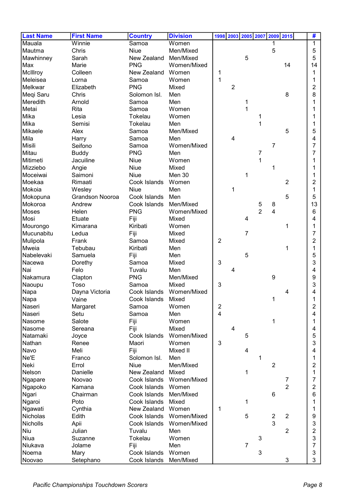| <b>Last Name</b> | <b>First Name</b>      | <b>Country</b>     | <b>Division</b> | 1998 2003 2005 2007<br>2009 2015<br>#                |
|------------------|------------------------|--------------------|-----------------|------------------------------------------------------|
| Mauala           | Winnie                 | Samoa              | Women           | 1                                                    |
| Mautma           | Chris                  | <b>Niue</b>        | Men/Mixed       | 5<br>5                                               |
| Mawhinney        | Sarah                  | New Zealand        | Men/Mixed       | 5<br>5                                               |
| Max              | Marie                  | <b>PNG</b>         | Women/Mixed     | 14<br>14                                             |
| McIllroy         | Colleen                | New Zealand        | Women           | 1<br>1                                               |
| Meleisea         | Lorna                  | Samoa              | Women           | $\mathbf{1}$<br>1                                    |
| Melkwar          | Elizabeth              | <b>PNG</b>         | Mixed           | $\overline{2}$<br>2                                  |
| Meqi Saru        | Chris                  | Solomon Isl.       | Men             | 8<br>8                                               |
| Meredith         | Arnold                 | Samoa              | Men             | 1                                                    |
| Metai            | <b>Rita</b>            | Samoa              | Women           | 1                                                    |
| Mika             | Lesia                  | Tokelau            | Women           | 1                                                    |
| Mika             | Semisi                 | Tokelau            | Men             | 1                                                    |
| Mikaele          | Alex                   | Samoa              | Men/Mixed       | 5<br>5                                               |
| Mila             | Harry                  | Samoa              | Men             | 4<br>4                                               |
| Misili           | Seifono                | Samoa              | Women/Mixed     | 7<br>7                                               |
| Mitau            | <b>Buddy</b>           | <b>PNG</b>         | Men             | 7<br>7                                               |
| Mitimeti         | Jacuiline              | <b>Niue</b>        | Women           | 1                                                    |
| Mizziebo         | Angie                  | Niue               | Mixed           | 1                                                    |
| Moceiwai         | Saimoni                | <b>Niue</b>        | Men 30          | 1                                                    |
| Moekaa           | Rimaati                | Cook Islands       | Women           | 2<br>2                                               |
| Mokoia           | Wesley                 | <b>Niue</b>        | Men             | 1<br>1                                               |
| Mokopuna         | <b>Grandson Nooroa</b> | Cook Islands       | Men             | 5<br>5                                               |
| Mokoroa          | Andrew                 | Cook Islands       | Men/Mixed       | 13<br>$\mathbf 5$<br>8                               |
| Moses            | Helen                  | <b>PNG</b>         | Women/Mixed     | $\overline{2}$<br>4<br>6                             |
| Mosi             | Etuate                 | Fiji               | Mixed           | 4<br>4                                               |
| Mourongo         | Kimarana               | Kiribati           | Women           | 1                                                    |
| Mucunabitu       | Ledua                  | Fiji               | Mixed           | 7<br>7                                               |
| Mulipola         | Frank                  | Samoa              | Mixed           | $\overline{2}$<br>2                                  |
| Mweia            | Tebubau                | Kiribati           | Men             | 1<br>1                                               |
| Nabelevaki       | Samuela                | Fiji               | Men             | 5<br>5                                               |
| Nacewa           | Dorethy                | Samoa              | Mixed           | 3<br>3                                               |
| Nai              | Felo                   | Tuvalu             | Men             | 4<br>4                                               |
| Nakamura         | Clapton                | <b>PNG</b>         | Men/Mixed       | 9<br>9                                               |
| Naoupu           | Toso                   | Samoa              | Mixed           | 3<br>3                                               |
| Napa             | Dayna Victoria         | Cook Islands       | Women/Mixed     | 4<br>4                                               |
| Napa             | Vaine                  | Cook Islands Mixed |                 | 1                                                    |
| Naseri           | Margaret               | Samoa              | Women           | $\overline{\mathbf{c}}$<br>$\overline{2}$            |
| Naseri           | Setu                   | Samoa              | Men             | $\overline{\mathbf{4}}$<br>4                         |
| Nasome           | Salote                 | Fiji               | Women           | 1<br>1                                               |
| Nasome           | Sereana                | Fiji               | Mixed           | $\overline{\mathbf{4}}$<br>4                         |
| Natamaki         | Joyce                  | Cook Islands       | Women/Mixed     | 5<br>5                                               |
| Nathan           | Renee                  | Maori              | Women           | 3<br>3                                               |
| Navo             | Meli                   | Fiji               | Mixed II        | $\overline{\mathbf{4}}$<br>4                         |
| Ne'E             | Franco                 | Solomon Isl.       | Men             | 1<br>1                                               |
| Neki             | Errol                  | <b>Niue</b>        | Men/Mixed       | $\overline{2}$<br>2                                  |
| Nelson           | Danielle               | New Zealand        | Mixed           | 1<br>1                                               |
| Ngapare          | Noovao                 | Cook Islands       | Women/Mixed     | 7<br>7                                               |
| Ngapoko          | Kamana                 | Cook Islands       | Women           | $\overline{2}$<br>2                                  |
| Ngari            | Chairman               | Cook Islands       | Men/Mixed       | 6<br>$\,6$                                           |
| Ngaroi           | Poto                   | Cook Islands       | Mixed           | 1                                                    |
| Ngawati          | Cynthia                | New Zealand        | Women           | 1                                                    |
| Nicholas         | Edith                  | Cook Islands       | Women/Mixed     | $\mathbf 5$<br>$\overline{2}$<br>$\overline{2}$<br>9 |
| Nicholls         | Apii                   | Cook Islands       | Women/Mixed     | 3<br>3                                               |
| Niu              | Julian                 | Tuvalu             | Men             | $\overline{2}$<br>2                                  |
| Niua             | Suzanne                | Tokelau            | Women           | 3<br>3                                               |
| Niukava          | Jolame                 | Fiji               | Men             | $\overline{7}$<br>7                                  |
| Noema            | Mary                   | Cook Islands       | Women           | 3<br>3                                               |
| Noovao           | Setephano              | Cook Islands       | Men/Mixed       | 3<br>3                                               |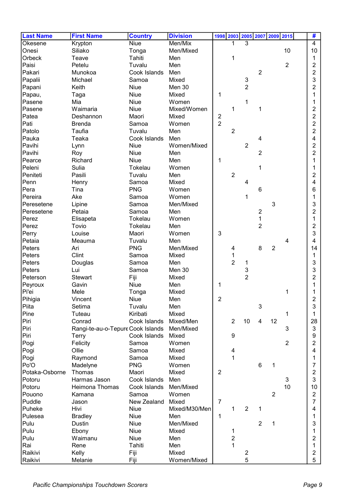| 3<br>Okesene<br>Krypton<br>Niue<br>Men/Mix<br>$\overline{4}$<br>Siliako<br>10<br>10<br>Onesi<br>Tonga<br>Men/Mixed<br>Orbeck<br>Tahiti<br>Teave<br>Men<br>1<br>1<br>$\overline{2}$<br>Paisi<br>Petelu<br>Men<br>$\overline{2}$<br>Tuvalu<br>$\overline{2}$<br>$\overline{2}$<br>Pakari<br>Munokoa<br>Cook Islands<br>Men<br>3<br>3<br>Mixed<br>Papalii<br>Michael<br>Samoa<br>$\overline{2}$<br>2<br>Keith<br><b>Niue</b><br>Papani<br>Men 30<br>Papau,<br><b>Niue</b><br>Mixed<br>1<br>Taga<br>1<br>Pasene<br>Mia<br>Niue<br>Women<br>1<br>Pasene<br>Waimaria<br><b>Niue</b><br>Mixed/Women<br>1<br>2<br>1<br>$\overline{2}$<br>$\boldsymbol{2}$<br>Patea<br>Deshannon<br>Maori<br>Mixed<br>$\overline{2}$<br>2<br>Pati<br>Women<br><b>Brenda</b><br>Samoa |
|-------------------------------------------------------------------------------------------------------------------------------------------------------------------------------------------------------------------------------------------------------------------------------------------------------------------------------------------------------------------------------------------------------------------------------------------------------------------------------------------------------------------------------------------------------------------------------------------------------------------------------------------------------------------------------------------------------------------------------------------------------------|
|                                                                                                                                                                                                                                                                                                                                                                                                                                                                                                                                                                                                                                                                                                                                                             |
|                                                                                                                                                                                                                                                                                                                                                                                                                                                                                                                                                                                                                                                                                                                                                             |
|                                                                                                                                                                                                                                                                                                                                                                                                                                                                                                                                                                                                                                                                                                                                                             |
|                                                                                                                                                                                                                                                                                                                                                                                                                                                                                                                                                                                                                                                                                                                                                             |
|                                                                                                                                                                                                                                                                                                                                                                                                                                                                                                                                                                                                                                                                                                                                                             |
|                                                                                                                                                                                                                                                                                                                                                                                                                                                                                                                                                                                                                                                                                                                                                             |
|                                                                                                                                                                                                                                                                                                                                                                                                                                                                                                                                                                                                                                                                                                                                                             |
|                                                                                                                                                                                                                                                                                                                                                                                                                                                                                                                                                                                                                                                                                                                                                             |
|                                                                                                                                                                                                                                                                                                                                                                                                                                                                                                                                                                                                                                                                                                                                                             |
|                                                                                                                                                                                                                                                                                                                                                                                                                                                                                                                                                                                                                                                                                                                                                             |
|                                                                                                                                                                                                                                                                                                                                                                                                                                                                                                                                                                                                                                                                                                                                                             |
|                                                                                                                                                                                                                                                                                                                                                                                                                                                                                                                                                                                                                                                                                                                                                             |
| $\overline{2}$<br>$\overline{2}$<br>Patolo<br>Taufia<br>Tuvalu<br>Men                                                                                                                                                                                                                                                                                                                                                                                                                                                                                                                                                                                                                                                                                       |
| Pauka<br>Teaka<br>4<br>4<br>Cook Islands<br>Men                                                                                                                                                                                                                                                                                                                                                                                                                                                                                                                                                                                                                                                                                                             |
| $\overline{2}$<br>$\overline{2}$<br>Pavihi<br>Niue<br>Women/Mixed<br>Lynn                                                                                                                                                                                                                                                                                                                                                                                                                                                                                                                                                                                                                                                                                   |
| $\overline{2}$<br>$\overline{2}$<br>Pavihi<br><b>Niue</b><br>Men                                                                                                                                                                                                                                                                                                                                                                                                                                                                                                                                                                                                                                                                                            |
| Roy<br>1<br>Richard<br>Niue<br>Men<br>Pearce                                                                                                                                                                                                                                                                                                                                                                                                                                                                                                                                                                                                                                                                                                                |
| Sulia<br>1<br>Women                                                                                                                                                                                                                                                                                                                                                                                                                                                                                                                                                                                                                                                                                                                                         |
| Peleni<br>Tokelau                                                                                                                                                                                                                                                                                                                                                                                                                                                                                                                                                                                                                                                                                                                                           |
| $\overline{2}$<br>2<br>Peniteti<br>Pasili<br>Tuvalu<br>Men                                                                                                                                                                                                                                                                                                                                                                                                                                                                                                                                                                                                                                                                                                  |
| Mixed<br>4<br>4<br>Penn<br>Henry<br>Samoa                                                                                                                                                                                                                                                                                                                                                                                                                                                                                                                                                                                                                                                                                                                   |
| <b>PNG</b><br>Pera<br>Tina<br>Women<br>6<br>6                                                                                                                                                                                                                                                                                                                                                                                                                                                                                                                                                                                                                                                                                                               |
| Pereira<br>Ake<br>Samoa<br>Women<br>1<br>1                                                                                                                                                                                                                                                                                                                                                                                                                                                                                                                                                                                                                                                                                                                  |
| 3<br>Men/Mixed<br>3<br>Peresetene<br>Lipine<br>Samoa                                                                                                                                                                                                                                                                                                                                                                                                                                                                                                                                                                                                                                                                                                        |
| $\overline{2}$<br>2<br>Petaia<br>Peresetene<br>Samoa<br>Men                                                                                                                                                                                                                                                                                                                                                                                                                                                                                                                                                                                                                                                                                                 |
| 1<br>Tokelau<br>Women<br>Perez<br>Elisapeta<br>1                                                                                                                                                                                                                                                                                                                                                                                                                                                                                                                                                                                                                                                                                                            |
| $\overline{2}$<br>Tovio<br>2<br>Perez<br>Tokelau<br>Men                                                                                                                                                                                                                                                                                                                                                                                                                                                                                                                                                                                                                                                                                                     |
| 3<br>Women<br>3<br>Perry<br>Louise<br>Maori                                                                                                                                                                                                                                                                                                                                                                                                                                                                                                                                                                                                                                                                                                                 |
| Petaia<br>Men<br>4<br>Meauma<br>Tuvalu<br>4                                                                                                                                                                                                                                                                                                                                                                                                                                                                                                                                                                                                                                                                                                                 |
| <b>PNG</b><br>8<br>Men/Mixed<br>2<br>14<br>Peters<br>Ari<br>4                                                                                                                                                                                                                                                                                                                                                                                                                                                                                                                                                                                                                                                                                               |
| Clint<br>Peters<br>Mixed<br>1<br>Samoa<br>1                                                                                                                                                                                                                                                                                                                                                                                                                                                                                                                                                                                                                                                                                                                 |
| $\overline{2}$<br>3<br>Peters<br>Men<br>Douglas<br>Samoa<br>1                                                                                                                                                                                                                                                                                                                                                                                                                                                                                                                                                                                                                                                                                               |
| $\mathsf{3}$<br>3<br>Lui<br>Men 30<br>Peters<br>Samoa                                                                                                                                                                                                                                                                                                                                                                                                                                                                                                                                                                                                                                                                                                       |
| $\overline{2}$<br><b>Stewart</b><br>Fiji<br>Mixed<br>2<br>Peterson                                                                                                                                                                                                                                                                                                                                                                                                                                                                                                                                                                                                                                                                                          |
| Niue<br>Gavin<br>Men<br>1<br>Peyroux                                                                                                                                                                                                                                                                                                                                                                                                                                                                                                                                                                                                                                                                                                                        |
| Pi'ei<br>Mele<br>1<br>Mixed<br>Tonga                                                                                                                                                                                                                                                                                                                                                                                                                                                                                                                                                                                                                                                                                                                        |
| Pihigia<br>2<br>Niue<br>2<br>Vincent<br>Men                                                                                                                                                                                                                                                                                                                                                                                                                                                                                                                                                                                                                                                                                                                 |
| $\ensuremath{\mathsf{3}}$<br>$\mathbf{3}$<br>Piita<br>Setima<br>Tuvalu<br>Men                                                                                                                                                                                                                                                                                                                                                                                                                                                                                                                                                                                                                                                                               |
| Kiribati<br>Mixed<br>Pine<br>Tuteau<br>1<br>1                                                                                                                                                                                                                                                                                                                                                                                                                                                                                                                                                                                                                                                                                                               |
| 10<br>Piri<br>Cook Islands<br>$\overline{2}$<br>12<br>28<br>Conrad<br>Mixed/Men<br>4                                                                                                                                                                                                                                                                                                                                                                                                                                                                                                                                                                                                                                                                        |
| 3<br>Piri<br>Rangi-te-au-o-Tepure Cook Islands<br>3<br>Men/Mixed                                                                                                                                                                                                                                                                                                                                                                                                                                                                                                                                                                                                                                                                                            |
| Piri<br>Cook Islands<br>Mixed<br>9<br>9<br>Terry                                                                                                                                                                                                                                                                                                                                                                                                                                                                                                                                                                                                                                                                                                            |
| $\overline{2}$<br>Felicity<br>Women<br>$\overline{2}$<br>Pogi<br>Samoa                                                                                                                                                                                                                                                                                                                                                                                                                                                                                                                                                                                                                                                                                      |
| Ollie<br>4<br>Pogi<br>Samoa<br>Mixed<br>4                                                                                                                                                                                                                                                                                                                                                                                                                                                                                                                                                                                                                                                                                                                   |
| Mixed<br>1<br>Pogi<br>Raymond<br>Samoa<br>1                                                                                                                                                                                                                                                                                                                                                                                                                                                                                                                                                                                                                                                                                                                 |
| $\,6$<br>Po'O<br><b>PNG</b><br>Women<br>7<br>Madelyne<br>1                                                                                                                                                                                                                                                                                                                                                                                                                                                                                                                                                                                                                                                                                                  |
| Potaka-Osborne<br>Mixed<br>$\overline{2}$<br>$\overline{2}$<br>Thomas<br>Maori                                                                                                                                                                                                                                                                                                                                                                                                                                                                                                                                                                                                                                                                              |
| Potoru<br>Cook Islands<br>Men<br>3<br>3<br>Harmas Jason                                                                                                                                                                                                                                                                                                                                                                                                                                                                                                                                                                                                                                                                                                     |
| 10<br>Potoru<br>Heimona Thomas<br>Cook Islands<br>Men/Mixed<br>10                                                                                                                                                                                                                                                                                                                                                                                                                                                                                                                                                                                                                                                                                           |
| Samoa<br>$\overline{2}$<br>$\overline{2}$<br>Pouono<br>Women<br>Kamana                                                                                                                                                                                                                                                                                                                                                                                                                                                                                                                                                                                                                                                                                      |
| 7<br>New Zealand<br>Mixed<br>$\overline{7}$<br>Puddle<br>Jason                                                                                                                                                                                                                                                                                                                                                                                                                                                                                                                                                                                                                                                                                              |
| $\overline{2}$<br>Puheke<br>Hivi<br>Niue<br>Mixed/M30/Men<br>1<br>1<br>4                                                                                                                                                                                                                                                                                                                                                                                                                                                                                                                                                                                                                                                                                    |
| Pulesea<br>Niue<br>Men<br>1<br><b>Bradley</b><br>1                                                                                                                                                                                                                                                                                                                                                                                                                                                                                                                                                                                                                                                                                                          |
| $\overline{2}$<br>Pulu<br>Niue<br>Men/Mixed<br>Dustin<br>3<br>1                                                                                                                                                                                                                                                                                                                                                                                                                                                                                                                                                                                                                                                                                             |
| Pulu<br>Niue<br>Ebony<br>Mixed<br>1<br>1                                                                                                                                                                                                                                                                                                                                                                                                                                                                                                                                                                                                                                                                                                                    |
| $\overline{c}$<br>Pulu<br>Waimanu<br>Niue<br>Men<br>2                                                                                                                                                                                                                                                                                                                                                                                                                                                                                                                                                                                                                                                                                                       |
| $\mathbf{1}$<br>Rai<br>Rene<br>Tahiti<br>Men<br>1                                                                                                                                                                                                                                                                                                                                                                                                                                                                                                                                                                                                                                                                                                           |
| Raikivi<br>Kelly<br>Fiji<br>Mixed<br>$\overline{c}$<br>2                                                                                                                                                                                                                                                                                                                                                                                                                                                                                                                                                                                                                                                                                                    |
| 5<br>5<br>Raikivi<br>Women/Mixed<br>Melanie<br>Fiji                                                                                                                                                                                                                                                                                                                                                                                                                                                                                                                                                                                                                                                                                                         |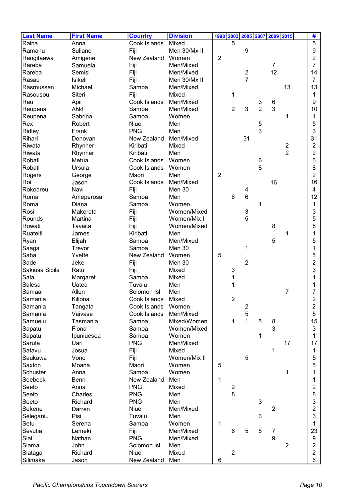| <b>Last Name</b> | <b>First Name</b>  | <b>Country</b>       | <b>Division</b>  | 1998 2003      |                | 2005 2007 2009 2015            |                |                |                | #                   |
|------------------|--------------------|----------------------|------------------|----------------|----------------|--------------------------------|----------------|----------------|----------------|---------------------|
| Raina            | Anna               | Cook Islands         | Mixed            |                | 5              |                                |                |                |                | 5                   |
| Ramanu           | Suliano            | Fiji                 | Men 30/Mx II     |                |                | 9                              |                |                |                | 9                   |
| Rangitaawa       | Amigene            | New Zealand          | Women            | $\overline{2}$ |                |                                |                |                |                | 2                   |
| Rareba           | Samuela            | Fiji                 | Men/Mixed        |                |                |                                |                | 7              |                | 7                   |
| Rareba           | Semisi             | Fiji                 | Men/Mixed        |                |                | 2                              |                | 12             |                | 14                  |
| Rasau            | <b>Isikeli</b>     | Fiji                 | Men 30/Mx II     |                |                | $\overline{7}$                 |                |                |                | 7                   |
| Rasmussen        | Michael            | Samoa                | Men/Mixed        |                |                |                                |                |                | 13             | 13                  |
| Rasousou         | Siteri             | Fiji                 | Mixed            |                | 1              |                                |                |                |                | 1                   |
| Rau              | Apii               | Cook Islands         | Men/Mixed        |                |                |                                | 3              | 6              |                | 9                   |
| Reupena          | Ahki               | Samoa                | Men/Mixed        |                | $\overline{c}$ | 3                              | $\overline{2}$ | 3              |                | 10                  |
| Reupena          | Sabrina            | Samoa                | Women            |                |                |                                |                |                | 1              | 1                   |
| Rex              | Robert             | Niue                 | Men              |                |                |                                | 5              |                |                | 5                   |
| Ridley           | Frank              | <b>PNG</b>           | Men              |                |                |                                | 3              |                |                | 3                   |
| Rihari           | Donovan            | New Zealand          | Men/Mixed        |                |                | 31                             |                |                |                | 31                  |
| Riwata           | Rhynner            | Kiribati             | Mixed            |                |                |                                |                |                | $\overline{c}$ | $\overline{2}$      |
| Riwata           | Rhynner            | Kiribati             | Men              |                |                |                                |                |                | $\overline{2}$ | 2                   |
| Robati           | Metua              | Cook Islands         | Women            |                |                |                                | $\,6$          |                |                | 6                   |
| Robati           | Ursula             | Cook Islands         | Women            |                |                |                                | 8              |                |                | 8                   |
| Rogers           | George             | Maori                | Men              | $\overline{2}$ |                |                                |                |                |                | 2                   |
| Roi              | Jason              | Cook Islands         | Men/Mixed        |                |                |                                |                | 16             |                | 16                  |
| Rokodreu         | Navi               | Fiji                 | Men 30           |                |                | 4                              |                |                |                | 4                   |
| Roma             | Ameperosa          | Samoa                | Men              |                | 6              | $\,6$                          |                |                |                | 12                  |
| Roma             | Diana              | Samoa                | Women            |                |                |                                | 1              |                |                | 1                   |
| Rosi             | Makereta           |                      | Women/Mixed      |                |                |                                |                |                |                | 3                   |
| Rounds           |                    | Fiji                 |                  |                |                | $\ensuremath{\mathsf{3}}$<br>5 |                |                |                |                     |
|                  | Martina            | Fiji                 | Women/Mix II     |                |                |                                |                |                |                | 5                   |
| Rowati           | Tavaita            | Fiji                 | Women/Mixed      |                |                |                                |                | 8              |                | 8                   |
| Ruateiti         | James              | Kiribati             | Men<br>Men/Mixed |                |                |                                |                |                | 1              |                     |
| Ryan             | Elijah             | Samoa                | Men 30           |                |                |                                |                | 5              |                | 5                   |
| Saaga<br>Saba    | Trevor<br>Yvette   | Samoa<br>New Zealand | Women            | 5              |                | 1                              |                |                |                | 1                   |
| Sade             | Jeke               |                      | Men 30           |                |                | $\overline{2}$                 |                |                |                | 5                   |
| Sakiusa Siqila   | Ratu               | Fiji                 | Mixed            |                |                |                                |                |                |                | 2<br>3              |
| Sala             |                    | Fiji<br>Samoa        | Mixed            |                | 3              |                                |                |                |                |                     |
| Salesa           | Margaret<br>Uatea  | Tuvalu               | Men              |                |                |                                |                |                |                |                     |
| Samaai           | Allen              | Solomon Isl.         | Men              |                |                |                                |                |                | 7              |                     |
| Samania          | Kiliona            | Cook Islands Mixed   |                  |                |                |                                |                |                |                |                     |
| Samania          |                    | Cook Islands         | Women            |                | 2              | $\boldsymbol{2}$               |                |                |                | ۷<br>$\overline{2}$ |
| Samania          | Tangata<br>Vaivase | Cook Islands         | Men/Mixed        |                |                | $\mathbf 5$                    |                |                |                | 5                   |
| Samuelu          | Tasmania           | Samoa                | Mixed/Women      |                | 1              | $\mathbf{1}$                   | 5              | 8              |                | 15                  |
|                  | Fiona              | Samoa                | Women/Mixed      |                |                |                                |                | 3              |                | 3                   |
| Sapatu           |                    | Samoa                | Women            |                |                |                                | 1              |                |                | 1                   |
| Sapatu<br>Sarufa | Ipuniuesea<br>Uari | <b>PNG</b>           | Men/Mixed        |                |                |                                |                |                | 17             | 17                  |
| Satavu           | Josua              | Fiji                 | Mixed            |                |                |                                |                | 1              |                | 1                   |
| Saukawa          | Vono               | Fiji                 | Women/Mix II     |                |                | $\sqrt{5}$                     |                |                |                | 5                   |
| Saxton           | Moana              | Maori                | Women            | 5              |                |                                |                |                |                | 5                   |
| Schuster         | Anna               | Samoa                | Women            |                |                |                                |                |                | 1              |                     |
| Seebeck          | Benn               | New Zealand          | Men              | $\mathbf{1}$   |                |                                |                |                |                |                     |
| Seeto            | Anna               | <b>PNG</b>           | Mixed            |                | $\overline{c}$ |                                |                |                |                | 2                   |
| Seeto            | Charles            | <b>PNG</b>           | Men              |                | 8              |                                |                |                |                | 8                   |
| Seeto            | Richard            | <b>PNG</b>           | Men              |                |                |                                | 3              |                |                | 3                   |
| Sekene           | Darren             | Niue                 | Men/Mixed        |                |                |                                |                | $\overline{2}$ |                | $\overline{2}$      |
| Seleganiu        | Pisi               | Tuvalu               | Men              |                |                |                                | 3              |                |                | 3                   |
| Setu             | Serena             | Samoa                | Women            | 1              |                |                                |                |                |                | 1                   |
| Sevutia          | Lemeki             | Fiji                 | Men/Mixed        |                | 6              | 5                              | 5              | 7              |                | 23                  |
| Siai             | Nathan             | <b>PNG</b>           | Men/Mixed        |                |                |                                |                | 9              |                | 9                   |
| Siama            | John               | Solomon Isl.         | Men              |                |                |                                |                |                | $\overline{2}$ | $\overline{2}$      |
| Siataga          | Richard            | <b>Niue</b>          | Mixed            |                | $\overline{2}$ |                                |                |                |                | $\overline{c}$      |
| Silimaka         | Jason              | New Zealand          | Men              | 6              |                |                                |                |                |                | 6                   |
|                  |                    |                      |                  |                |                |                                |                |                |                |                     |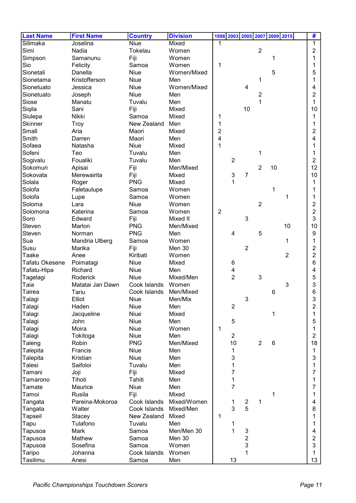| <b>Last Name</b> | <b>First Name</b> | <b>Country</b> | <b>Division</b> |                | 1998 2003 2005 2007 2009 2015 |                           |                |       |                | #                |
|------------------|-------------------|----------------|-----------------|----------------|-------------------------------|---------------------------|----------------|-------|----------------|------------------|
| Silimaka         | Joselina          | <b>Niue</b>    | Mixed           | 1              |                               |                           |                |       |                | 1                |
| Simi             | Nadia             | Tokelau        | Women           |                |                               |                           | $\overline{2}$ |       |                | 2                |
| Simpson          | Samanunu          | Fiji           | Women           |                |                               |                           |                | 1     |                | 1                |
| Sio              | Felicity          | Samoa          | Women           | 1              |                               |                           |                |       |                | 1                |
| Sionetali        | Danella           | <b>Niue</b>    | Women/Mixed     |                |                               |                           |                | 5     |                | 5                |
| Sionetama        | Kristofferson     | <b>Niue</b>    | Men             |                |                               |                           | 1              |       |                | 1                |
| Sionetuato       | Jessica           | <b>Niue</b>    | Women/Mixed     |                |                               | $\overline{4}$            |                |       |                | 4                |
| Sionetuato       | Joseph            | <b>Niue</b>    | Men             |                |                               |                           | 2              |       |                | 2                |
| Siose            | Manatu            | Tuvalu         | Men             |                |                               |                           | 1              |       |                | 1                |
| Siqila           | Sani              | Fiji           | Mixed           |                |                               | 10                        |                |       |                | 10               |
| Siulepa          | Nikki             | Samoa          | Mixed           | 1              |                               |                           |                |       |                | 1                |
| <b>Skinner</b>   | <b>Troy</b>       | New Zealand    | Men             | 1              |                               |                           |                |       |                | 1                |
| Small            | Aria              | Maori          | Mixed           | $\overline{2}$ |                               |                           |                |       |                | 2                |
| Smith            | Darren            | Maori          | Men             | 4              |                               |                           |                |       |                | 4                |
| Sofaea           | Natasha           | <b>Niue</b>    | Mixed           | 1              |                               |                           |                |       |                |                  |
| Sofeni           | Teo               | Tuvalu         | Men             |                |                               |                           | 1              |       |                | 1                |
| Sogivalu         | Foualiki          | Tuvalu         | Men             |                | $\overline{2}$                |                           |                |       |                | $\overline{2}$   |
| Sokomuri         | Apisai            | Fiji           | Men/Mixed       |                |                               |                           | $\overline{2}$ | 10    |                | 12               |
| Sokovata         | Merewairita       | Fiji           | Mixed           |                | 3                             | $\overline{7}$            |                |       |                | 10               |
| Solala           | Roger             | <b>PNG</b>     | Mixed           |                | 1                             |                           |                |       |                | 1                |
| Solofa           | Faletaulupe       | Samoa          | Women           |                |                               |                           |                | 1     |                | 1                |
| Solofa           | Lupe              | Samoa          | Women           |                |                               |                           |                |       | 1              | 1                |
| Soloma           | Lara              | Niue           | Women           |                |                               |                           | $\overline{2}$ |       |                | 2                |
| Solomona         | Katerina          | Samoa          | Women           | $\overline{2}$ |                               |                           |                |       |                | $\overline{2}$   |
| Soro             | Edward            | Fiji           | Mixed II        |                |                               | 3                         |                |       |                | 3                |
| Steven           | Marlon            | <b>PNG</b>     | Men/Mixed       |                |                               |                           |                |       | 10             | 10               |
| Steven           | Norman            | <b>PNG</b>     | Men             |                | $\overline{4}$                |                           | 5              |       |                | 9                |
| Sua              | Mandria Ulberg    | Samoa          | Women           |                |                               |                           |                |       | 1              | 1                |
| Susu             | Marika            | Fiji           | Men 30          |                |                               | $\overline{2}$            |                |       |                | 2                |
| Taake            | Anee              | Kiribati       | Women           |                |                               |                           |                |       | $\overline{2}$ | 2                |
| Tafatu Okesene   | Poimatagi         | Niue           | Mixed           |                | 6                             |                           |                |       |                | 6                |
| Tafatu-Hipa      | Richard           | Niue           | Men             |                | 4                             |                           |                |       |                | 4                |
| Tagelagi         | Roderick          | Niue           | Mixed/Men       |                | $\overline{2}$                |                           | 3              |       |                | 5                |
| Taia             | Matatai Jan Dawn  | Cook Islands   | Women           |                |                               |                           |                |       | $\mathbf{3}$   | 3                |
| Tairea           | Tariu             | Cook Islands   | Men/Mixed       |                |                               |                           |                | 6     |                | 6                |
| Talagi           | Elliot            | Niue           | Men/Mix         |                |                               | 3                         |                |       |                | 3                |
| Talagi           | Haden             | Niue           | Men             |                | $\overline{c}$                |                           |                |       |                | $\boldsymbol{2}$ |
| Talagi           | Jacqueline        | <b>Niue</b>    | Mixed           |                |                               |                           |                | 1     |                | 1                |
| Talagi           | John              | <b>Niue</b>    | Men             |                | 5                             |                           |                |       |                | 5                |
| Talagi           | Moira             | Niue           | Women           | 1              |                               |                           |                |       |                | 1                |
| Talagi           | Tokitoga          | Niue           | Men             |                | $\overline{2}$                |                           |                |       |                | $\overline{2}$   |
| Taleng           | Robin             | <b>PNG</b>     | Men/Mixed       |                | 10                            |                           | $\overline{2}$ | $\,6$ |                | 18               |
| Talepita         | Francis           | <b>Niue</b>    | Men             |                | 1                             |                           |                |       |                | 1                |
| Talepita         | Kristian          | <b>Niue</b>    | Men             |                | 3                             |                           |                |       |                | 3                |
| Talesi           | Saifoloi          | Tuvalu         | Men             |                | 1                             |                           |                |       |                | 1                |
| Tamani           | Joji              | Fiji           | Mixed           |                | 7                             |                           |                |       |                | 7                |
| Tamarono         | Tihoti            | Tahiti         | Men             |                | 1                             |                           |                |       |                | 1                |
| Tamate           | Maurice           | <b>Niue</b>    | Men             |                | $\overline{7}$                |                           |                |       |                | 7                |
| Tamoi            | <b>Rusila</b>     | Fiji           | Mixed           |                |                               |                           |                | 1     |                | 1                |
| Tangata          | Pareina-Mokoroa   | Cook Islands   | Mixed/Women     |                | 1                             | $\overline{2}$            | 1              |       |                | 4                |
| Tangata          | Walter            | Cook Islands   | Mixed/Men       |                | 3                             | 5                         |                |       |                | 8                |
| Tapseil          | Stacey            | New Zealand    | Mixed           | 1              |                               |                           |                |       |                | 1                |
| Tapu             | Tulafono          | Tuvalu         | Men             |                | 1                             |                           |                |       |                | 1                |
| Tapusoa          | Mark              | Samoa          | Men/Men 30      |                | 1                             | $\ensuremath{\mathsf{3}}$ |                |       |                | 4                |
| Tapusoa          | Mathew            | Samoa          | Men 30          |                |                               | $\overline{c}$            |                |       |                | 2                |
| Tapusoa          | Sosefina          | Samoa          | Women           |                |                               | 3                         |                |       |                | 3                |
| Taripo           | Johanna           | Cook Islands   | Women           |                |                               | 1                         |                |       |                | 1                |
| Tasilimu         | Anesi             | Samoa          | Men             |                | 13                            |                           |                |       |                | 13               |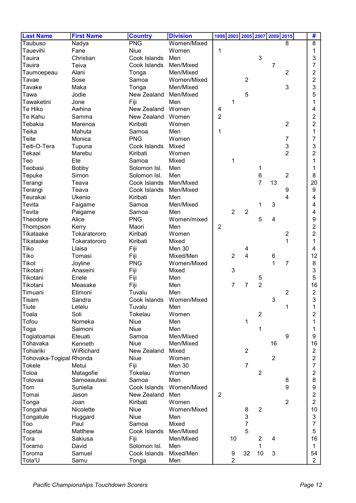| <b>Last Name</b>        | <b>First Name</b> | <b>Country</b> | <b>Division</b>          |                |                |                |                | 1998 2003 2005 2007 2009 2015 |                | #              |
|-------------------------|-------------------|----------------|--------------------------|----------------|----------------|----------------|----------------|-------------------------------|----------------|----------------|
| Taubuso                 | Nadya             | <b>PNG</b>     | Women/Mixed              |                |                |                |                |                               | 8              | 8              |
| Tauevihi                | Fane              | Niue           | Women                    | 1              |                |                |                |                               |                | 1              |
| Tauira                  | Christian         | Cook Islands   | Men                      |                |                |                | 3              |                               |                | 3              |
| Tauira                  | Teiva             | Cook Islands   | Men/Mixed                |                |                |                |                | 7                             |                | 7              |
| Taumoepeau              | Alani             | Tonga          | Men/Mixed                |                |                |                |                |                               | $\overline{2}$ | $\overline{2}$ |
| Tavae                   | Sose              | Samoa          | Women/Mixed              |                |                | $\overline{2}$ |                |                               |                | 2              |
| Tavake                  | Maka              | Tonga          | Men/Mixed                |                |                |                |                |                               | 3              | 3              |
| Tawa                    | Jodie             | New Zealand    | Men/Mixed                |                |                | 5              |                |                               |                | 5              |
| Tawaketini              | Jone              | Fiji           | Men                      |                | 1              |                |                |                               |                | 1              |
| Te Hiko                 | Awhina            | New Zealand    | Women                    | 4              |                |                |                |                               |                | 4              |
| Te Kahu                 | Samma             | New Zealand    | Women                    | $\overline{2}$ |                |                |                |                               |                | 2              |
| Tebakia                 | Marenoa           | Kiribati       | Women                    |                |                |                |                |                               | $\overline{2}$ | 2              |
| Teika                   | Mahuta            | Samoa          | Men                      | 1              |                |                |                |                               |                | 1              |
| Teite                   | Monica            | <b>PNG</b>     | Women                    |                |                |                |                |                               | $\overline{7}$ | 7              |
| Teiti-O-Tera            | Tupuna            | Cook Islands   | Mixed                    |                |                |                |                |                               | 3              | 3              |
| Tekaai                  | Marebu            | Kiribati       | Women                    |                |                |                |                |                               | $\overline{2}$ | 2              |
| Teo                     | Ete               | Samoa          | Mixed                    |                | 1              |                |                |                               |                | 1              |
| Teobasi                 | Bobby             | Solomon Isl.   | Men                      |                |                |                | 1              |                               |                | 1              |
| Tepuke                  | Simon             | Solomon Isl.   | Men                      |                |                |                | $\,6$          |                               | $\overline{2}$ | 8              |
| Terangi                 | Teava             | Cook Islands   | Men/Mixed                |                |                |                | $\overline{7}$ | 13                            |                | 20             |
| Terangi                 | Teava             | Cook Islands   | Men/Mixed                |                |                |                |                |                               | 9              | 9              |
| Teurakai                | Ukenio            | Kiribati       | Men                      |                |                |                |                |                               | 4              | 4              |
| Tevita                  | Faigame           | Samoa          | Men/Mixed                |                |                |                | 1              | 3                             |                | 4              |
| Tevita                  | Paigame           | Samoa          | Men                      |                | $\overline{2}$ | $\overline{2}$ |                |                               |                | 4              |
| Theodore                | Alice             | <b>PNG</b>     | Women/mixed              |                |                |                | 5              | 4                             |                | 9              |
| Thompson                | Kerry             | Maori          | Men                      | $\overline{2}$ |                |                |                |                               |                | 2              |
| Tikataake               | Tokaratororo      | Kiribati       | Women                    |                |                |                |                |                               | 2              | 2              |
| Tikataake               | Tokaratororo      | Kiribati       | Mixed                    |                |                |                |                |                               | 1              | 1              |
| Tiko                    | Llaisa            | Fiji           | Men 30                   |                |                | 4              |                |                               |                | 4              |
| Tiko                    | Tomasi            | Fiji           | Mixed/Men                |                | $\overline{2}$ | 4              |                | 6                             |                | 12             |
| <b>Tikot</b>            | Joyline           | <b>PNG</b>     | Women/Mixed              |                |                |                |                | 1                             | 7              | 8              |
| Tikotani                | Anaseini          | Fiji           | Mixed                    |                | 3              |                |                |                               |                | 3              |
| Tikotani                | Enele             | Fiji           | Men                      |                |                |                | 5              |                               |                | 5              |
| Tikotani                | Measake           | Fiji           | Men                      |                | 7              | $\overline{7}$ | $\overline{2}$ |                               |                | 16             |
| Timuani                 | Etimoni           | Tuvalu         | Men                      |                |                |                |                |                               | 2              | $\mathbf{2}$   |
| <b>Tisam</b>            | Sandra            |                | Cook Islands Women/Mixed |                |                |                |                | 3                             |                | 3              |
| Tiute                   | Letelu            | Tuvalu         | Men                      |                |                |                |                |                               | 1              | 1              |
| Toala                   | Soli              | Tokelau        | Women                    |                |                |                | $\overline{2}$ |                               |                | $\overline{2}$ |
| Tofou                   | Nomeka            | Niue           | Men                      |                |                | 1              |                |                               |                | 1              |
| Toga                    | Saimoni           | Niue           | Men                      |                |                |                | 1              |                               |                | 1              |
| Togiatoamai             | Eteuati           | Samoa          | Men/Mixed                |                |                |                |                |                               | 9              | 9              |
| Tohavaka                | Kenneth           | <b>Niue</b>    | Men/Mixed                |                |                |                |                | 16                            |                | 16             |
| Tohiariki               | WiRichard         | New Zealand    | Mixed                    |                |                | $\overline{2}$ |                |                               |                | $\overline{2}$ |
| Tohovaka-Togipal Rhonda |                   | <b>Niue</b>    | Women                    |                |                |                |                | $\overline{2}$                |                | 2              |
| Tokele                  | Metui             | Fiji           | Men 30                   |                |                | $\overline{7}$ |                |                               |                | 7              |
| Toloa                   | Matagofie         | Tokelau        | Women                    |                |                |                | $\overline{2}$ |                               |                | 2              |
| Tolovaa                 | Samoaautasi       | Samoa          | Men                      |                |                |                |                |                               | 8              | 8              |
| Tom                     | Sunielia          | Cook Islands   | Women/Mixed              |                |                |                |                |                               | 9              | 9              |
| Tomai                   | Jason             | New Zealand    | Men                      | $\overline{2}$ |                |                |                |                               |                | $\overline{2}$ |
| Tonga                   | Joan              | Kiribati       | Women                    |                |                |                |                |                               | $\overline{2}$ | $\overline{2}$ |
| Tongahai                | Nicolette         | Niue           | Women/Mixed              |                |                | 8              | $\overline{2}$ |                               |                | 10             |
| Tongatule               | Huggard           | Niue           | Men                      |                |                | 3              |                |                               |                | 3              |
| Too                     | Paul              | Samoa          | Mixed                    |                |                | $\overline{7}$ |                |                               |                | 7              |
| Topetai                 | Matthew           | Cook Islands   | Men/Mixed                |                |                | 5              |                |                               |                | 5              |
| Tora                    | Sakiusa           | Fiji           | Men/Mixed                |                | 10             |                | $\overline{2}$ | 4                             |                | 16             |
| Toramo                  | David             | Solomon Isl.   | Men                      |                |                |                | 1              |                               |                | 1              |
| Toroma                  | Samuel            | Cook Islands   | Mixed/Men                |                | 9              | 32             | 10             | 3                             |                | 54             |
|                         |                   |                |                          |                | $\overline{2}$ |                |                |                               |                | $\overline{2}$ |
| Tota'U                  | Samu              | Tonga          | Men                      |                |                |                |                |                               |                |                |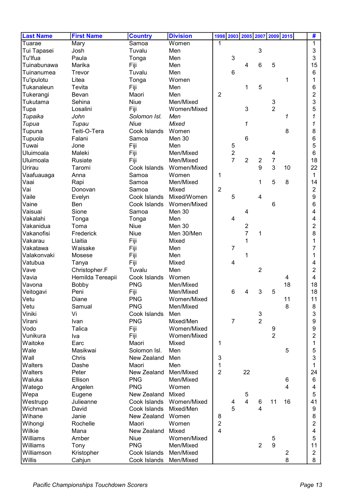| <b>Last Name</b> | <b>First Name</b> | <b>Country</b> | <b>Division</b> |                  |                | 1998 2003 2005 2007 2009 2015 |                           |                           |                | #              |
|------------------|-------------------|----------------|-----------------|------------------|----------------|-------------------------------|---------------------------|---------------------------|----------------|----------------|
| Tuarae           | Mary              | Samoa          | Women           | 1                |                |                               |                           |                           |                | 1              |
| Tui Tapasei      | Josh              | Tuvalu         | Men             |                  |                |                               | 3                         |                           |                | 3              |
| Tu'lfua          | Paula             | Tonga          | Men             |                  | 3              |                               |                           |                           |                | 3              |
| Tuinabunawa      | Marika            | Fiji           | Men             |                  |                | $\overline{4}$                | 6                         | 5                         |                | 15             |
| Tuinanumea       | Trevor            | Tuvalu         | Men             |                  | 6              |                               |                           |                           |                | 6              |
| Tu'ipulotu       | Litea             | Tonga          | Women           |                  |                |                               |                           |                           | 1              | 1              |
| Tukanaleun       | Tevita            | Fiji           | Men             |                  |                | 1                             | 5                         |                           |                | 6              |
| Tukerangi        | Bevan             | Maori          | Men             | $\overline{2}$   |                |                               |                           |                           |                | 2              |
| Tukutama         | Sehina            | Niue           | Men/Mixed       |                  |                |                               |                           | $\ensuremath{\mathsf{3}}$ |                | 3              |
| Tupa             | Losalini          | Fiji           | Women/Mixed     |                  |                | 3                             |                           | $\overline{2}$            |                | 5              |
| Tupaika          | John              | Solomon Isl.   | Men             |                  |                |                               |                           |                           | 1              | 1              |
| Tupua            | Tupau             | Niue           | Mixed           |                  |                | 1                             |                           |                           |                | 1              |
| Tupuna           | Teiti-O-Tera      | Cook Islands   | Women           |                  |                |                               |                           |                           | 8              | 8              |
| Tupuola          | Falani            | Samoa          | Men 30          |                  |                | $6\phantom{1}6$               |                           |                           |                | 6              |
| Tuwai            | Jone              | Fiji           | Men             |                  | 5              |                               |                           |                           |                | 5              |
| Uluimoala        | Maleki            | Fiji           | Men/Mixed       |                  | $\overline{2}$ |                               |                           | 4                         |                | 6              |
| Uluimoala        | Rusiate           | Fiji           | Men/Mixed       |                  | $\overline{7}$ | $\overline{2}$                | $\overline{2}$            | $\overline{7}$            |                | 18             |
| Urirau           | Taromi            | Cook Islands   | Women/Mixed     |                  |                |                               | 9                         | 3                         | 10             | 22             |
| Vaafuauaga       | Anna              | Samoa          | Women           | 1                |                |                               |                           |                           |                | 1              |
| Vaai             | Rapi              | Samoa          | Men/Mixed       |                  |                |                               | 1                         | 5                         | 8              | 14             |
| Vai              | Donovan           | Samoa          | Mixed           | $\overline{2}$   |                |                               |                           |                           |                | $\overline{2}$ |
| Vaile            | Evelyn            | Cook Islands   | Mixed/Women     |                  | 5              |                               | 4                         |                           |                | 9              |
| Vaine            | Ben               | Cook Islands   | Women/Mixed     |                  |                |                               |                           | 6                         |                | 6              |
| Vaisuai          | Sione             | Samoa          | Men 30          |                  |                | 4                             |                           |                           |                | 4              |
| Vakalahi         | Tonga             | Tonga          | Men             |                  | 4              |                               |                           |                           |                | 4              |
| Vakanidua        | Toma              | Niue           | Men 30          |                  |                | $\boldsymbol{2}$              |                           |                           |                | 2              |
| Vakanofisi       | Frederick         | Niue           | Men 30/Men      |                  |                | $\overline{7}$                | 1                         |                           |                | 8              |
| Vakarau          | Llaitia           | Fiji           | Mixed           |                  |                | 1                             |                           |                           |                |                |
| Vakatawa         | Waisake           | Fiji           | Men             |                  | 7              |                               |                           |                           |                | 7              |
| Valakonvaki      | Mosese            | Fiji           | Men             |                  |                | 1                             |                           |                           |                | 1              |
| Vatubua          | Tanya             | Fiji           | Mixed           |                  | 4              |                               |                           |                           |                | 4              |
| Vave             | Christopher.F     | Tuvalu         | Men             |                  |                |                               | 2                         |                           |                | 2              |
| Vavia            | Hemilda Tereapii  | Cook Islands   | Women           |                  |                |                               |                           |                           | 4              | 4              |
| Vavona           | <b>Bobby</b>      | <b>PNG</b>     | Men/Mixed       |                  |                |                               |                           |                           | 18             | 18             |
| Veitogavi        | Peni              | Fiji           | Men/Mixed       |                  | 6              | 4                             | 3                         | 5                         |                | 18             |
| Vetu             | Diane             | <b>PNG</b>     | Women/Mixed     |                  |                |                               |                           |                           | 11             | 11             |
| Vetu             | Samual            | <b>PNG</b>     | Men/Mixed       |                  |                |                               |                           |                           | 8              | 8              |
| Viniki           | Vi                | Cook Islands   | Men             |                  |                |                               | $\ensuremath{\mathsf{3}}$ |                           |                | 3              |
| Virani           | Ivan              | <b>PNG</b>     | Mixed/Men       |                  | $\overline{7}$ |                               | $\overline{2}$            |                           |                | 9              |
| Vodo             | Talica            | Fiji           | Women/Mixed     |                  |                |                               |                           | 9                         |                | 9              |
| Vunikura         | Iva               | Fiji           | Women/Mixed     |                  |                |                               |                           | $\overline{2}$            |                | 2              |
| Waitoke          | Earc              | Maori          | Mixed           | 1                |                |                               |                           |                           |                | 1              |
| Wale             | Masikwai          | Solomon Isl.   | Men             |                  |                |                               |                           |                           | 5              | 5              |
| Wall             | Chris             | New Zealand    | Men             | 3                |                |                               |                           |                           |                | 3              |
| Walters          | Dashe             | Maori          | Men             | 1                |                |                               |                           |                           |                | 1              |
| Walters          | Peter             | New Zealand    | Men/Mixed       | $\overline{2}$   |                | 22                            |                           |                           |                | 24             |
| Waluka           | Ellison           | <b>PNG</b>     | Men/Mixed       |                  |                |                               |                           |                           | 6              | 6              |
| Watego           | Angelen           | <b>PNG</b>     | Women           |                  |                |                               |                           |                           | 4              | 4              |
| Wepa             | Eugene            | New Zealand    | Mixed           |                  |                | 5                             |                           |                           |                | 5              |
| Westrupp         | Julieanne         | Cook Islands   | Women/Mixed     |                  | 4              | $\overline{4}$                | 6                         | 11                        | 16             | 41             |
| Wichman          | David             | Cook Islands   | Mixed/Men       |                  | 5              |                               | 4                         |                           |                | 9              |
| Wihane           | Janie             | New Zealand    | Women           | 8                |                |                               |                           |                           |                | 8              |
| Wihongi          | Rochelle          | Maori          | Women           | $\boldsymbol{2}$ |                |                               |                           |                           |                | $\overline{c}$ |
| Wilkie           | Mana              | New Zealand    | Mixed           | 4                |                |                               |                           |                           |                | 4              |
| Williams         | Amber             | Niue           | Women/Mixed     |                  |                |                               |                           | $\mathbf 5$               |                | 5              |
| Williams         | Tony              | <b>PNG</b>     | Men/Mixed       |                  |                |                               | $\overline{2}$            | $\boldsymbol{9}$          |                | 11             |
| Williamson       | Kristopher        | Cook Islands   | Men/Mixed       |                  |                |                               |                           |                           | $\overline{c}$ | $\overline{c}$ |
| Willis           | Cahjun            | Cook Islands   | Men/Mixed       |                  |                |                               |                           |                           | 8              | 8              |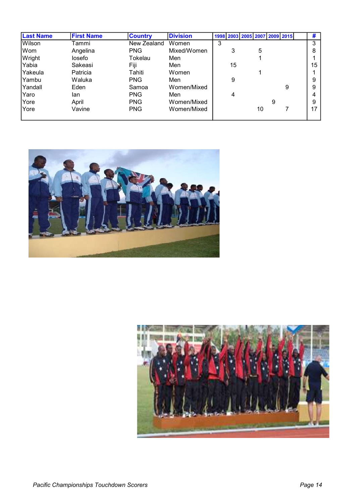| <b>Last Name</b> | <b>First Name</b> | <b>Country</b> | <b>Division</b> |   |    |    |   | 1998 2003 2005 2007 2009 2015 | #  |
|------------------|-------------------|----------------|-----------------|---|----|----|---|-------------------------------|----|
| Wilson           | Tammi             | New Zealand    | Women           | 3 |    |    |   |                               | 3  |
| Wom              | Angelina          | <b>PNG</b>     | Mixed/Women     |   | 3  | 5  |   |                               | 8  |
| Wright           | losefo            | Tokelau        | Men             |   |    |    |   |                               |    |
| Yabia            | Sakeasi           | Fiji           | Men             |   | 15 |    |   |                               | 15 |
| Yakeula          | Patricia          | Tahiti         | Women           |   |    |    |   |                               |    |
| lYambu.          | Waluka            | <b>PNG</b>     | Men             |   | 9  |    |   |                               | 9  |
| IYandall         | Eden              | Samoa          | Women/Mixed     |   |    |    |   | 9                             | 9  |
| Yaro             | lan               | <b>PNG</b>     | Men             |   | 4  |    |   |                               | 4  |
| lYore            | April             | <b>PNG</b>     | Women/Mixed     |   |    |    | 9 |                               | 9  |
| lYore            | Vavine            | <b>PNG</b>     | Women/Mixed     |   |    | 10 |   |                               | 17 |
|                  |                   |                |                 |   |    |    |   |                               |    |



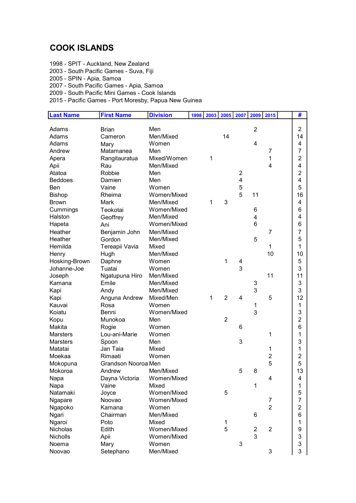## COOK ISLANDS

- 1998 SPIT Auckland, New Zealand
- 2003 South Pacific Games Suva, Fiji
- 2005 SPIN Apia, Samoa
- 2007 South Pacific Games Apia, Samoa
- 2009 South Pacific Mini Games Cook Islands
- 2015 Pacific Games Port Moresby, Papua New Guinea

| <b>Last Name</b> | <b>First Name</b>   | <b>Division</b> | 1998 | 2003         | 2005           | 2007           | 2009                | 2015           | #              |
|------------------|---------------------|-----------------|------|--------------|----------------|----------------|---------------------|----------------|----------------|
|                  |                     |                 |      |              |                |                |                     |                |                |
| Adams            | <b>Brian</b>        | Men             |      |              |                |                | $\overline{2}$      |                | $\overline{2}$ |
| Adams            | Cameron             | Men/Mixed       |      |              | 14             |                |                     |                | 14             |
| Adams            | Mary                | Women           |      |              |                |                | $\overline{4}$      |                | 4              |
| Andrew           | Matamanea           | Men             |      |              |                |                |                     | 7              | $\overline{7}$ |
| Apera            | Rangitauratua       | Mixed/Women     |      | 1            |                |                |                     | 1              | $\overline{2}$ |
| Apii             | Rau                 | Men/Mixed       |      |              |                |                |                     | 4              | 4              |
| Atatoa           | Robbie              | Men             |      |              |                | $\overline{2}$ |                     |                | $\overline{2}$ |
| <b>Beddoes</b>   | Damien              | Men             |      |              |                | 4              |                     |                | 4              |
| Ben              | Vaine               | Women           |      |              |                | 5              |                     |                | 5              |
| <b>Bishop</b>    | Rheima              | Women/Mixed     |      |              |                | 5              | 11                  |                | 16             |
| <b>Brown</b>     | Mark                | Men/Mixed       |      | 1            | 3              |                |                     |                | 4              |
| Cummings         | Teokotai            | Women/Mixed     |      |              |                |                | 6                   |                | 6              |
| Halston          | Geoffrey            | Men/Mixed       |      |              |                |                | 4                   |                | 4              |
| Hapeta           | Ani                 | Women/Mixed     |      |              |                |                | 6                   |                | 6              |
| Heather          | Benjamin John       | Men/Mixed       |      |              |                |                |                     | 7              | $\overline{7}$ |
| Heather          | Gordon              | Men/Mixed       |      |              |                |                | 5                   |                | 5              |
| Hemilda          | Tereapii Vavia      | Mixed           |      |              |                |                |                     | 1              | 1              |
| Henry            | Hugh                | Men/Mixed       |      |              |                |                |                     | 10             | 10             |
| Hosking-Brown    | Daphne              | Women           |      |              | $\mathbf{1}$   | 4              |                     |                | 5              |
| Johanne-Joe      | Tuatai              | Women           |      |              |                | 3              |                     |                | 3              |
| Joseph           | Ngatupuna Hiro      | Men/Mixed       |      |              |                |                |                     | 11             | 11             |
| Kamana           | Emile               | Men/Mixed       |      |              |                |                | 3                   |                | 3              |
| Kapi             | Andy                | Men/Mixed       |      |              |                |                | 3                   |                | 3              |
| Kapi             | Anguna Andrew       | Mixed/Men       |      | $\mathbf{1}$ | $\overline{2}$ | 4              |                     | 5              | 12             |
| Kauvai           | Rosa                | Women           |      |              |                |                | 1                   |                | 1              |
| Koiatu           | Benni               | Women/Mixed     |      |              |                |                | 3                   |                | 3              |
| Kopu             | Munokoa             | Men             |      |              | $\overline{2}$ |                |                     |                | $\overline{c}$ |
| Makita           | Rogie               | Women           |      |              |                | 6              |                     |                | 6              |
| <b>Marsters</b>  | Lou-ani-Marie       | Women           |      |              |                |                |                     | 1              | 1              |
| <b>Marsters</b>  | Spoon               | Men             |      |              |                | 3              |                     |                | 3              |
| Matatai          | Jan Taia            | Mixed           |      |              |                |                |                     | 1              | 1              |
| Moekaa           | Rimaati             | Women           |      |              |                |                |                     | $\overline{2}$ | $\overline{c}$ |
| Mokopuna         | Grandson Nooroa Men |                 |      |              |                |                |                     | 5              | 5              |
| Mokoroa          | Andrew              | Men/Mixed       |      |              |                | 5              | 8                   |                | 13             |
| Napa             | Dayna Victoria      | Women/Mixed     |      |              |                |                |                     | 4              | 4              |
| Napa             | Vaine               | Mixed           |      |              |                |                | 1                   |                | 1              |
| Natamaki         | Joyce               | Women/Mixed     |      |              | 5              |                |                     |                | 5              |
| Ngapare          | Noovao              | Women/Mixed     |      |              |                |                |                     | 7              | $\overline{7}$ |
|                  | Kamana              | Women           |      |              |                |                |                     | $\overline{2}$ | $\overline{c}$ |
| Ngapoko<br>Ngari | Chairman            | Men/Mixed       |      |              |                |                | 6                   |                | $\,6$          |
|                  | Poto                | Mixed           |      |              | $\mathbf{1}$   |                |                     |                | 1              |
| Ngaroi           |                     |                 |      |              | 5              |                |                     | $\overline{2}$ |                |
| Nicholas         | Edith               | Women/Mixed     |      |              |                |                | $\overline{2}$<br>3 |                | 9              |
| Nicholls         | Apii                | Women/Mixed     |      |              |                |                |                     |                | 3              |
| Noema            | Mary                | Women           |      |              |                | 3              |                     |                | $\mathsf 3$    |
| Noovao           | Setephano           | Men/Mixed       |      |              |                |                |                     | 3              | 3              |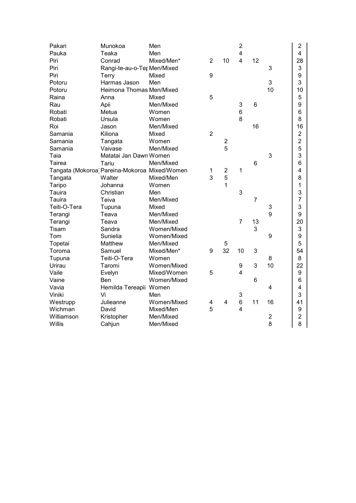| Pakari                                        | Munokoa                     | Men         |                |                  | $\overline{2}$          |                |                | $\overline{2}$            |
|-----------------------------------------------|-----------------------------|-------------|----------------|------------------|-------------------------|----------------|----------------|---------------------------|
| Pauka                                         | Teaka                       | Men         |                |                  | $\overline{\mathbf{4}}$ |                |                | $\overline{\mathbf{4}}$   |
| Piri                                          | Conrad                      | Mixed/Men*  | $\overline{2}$ | 10               | $\overline{4}$          | 12             |                | 28                        |
| Piri                                          | Rangi-te-au-o-Ter Men/Mixed |             |                |                  |                         |                | 3              | 3                         |
| Piri                                          | Terry                       | Mixed       | 9              |                  |                         |                |                | $\boldsymbol{9}$          |
| Potoru                                        | Harmas Jason                | Men         |                |                  |                         |                | 3              | 3                         |
| Potoru                                        | Heimona Thomas Men/Mixed    |             |                |                  |                         |                | 10             | 10                        |
| Raina                                         | Anna                        | Mixed       | 5              |                  |                         |                |                | 5                         |
| Rau                                           | Apii                        | Men/Mixed   |                |                  | 3                       | 6              |                | 9                         |
| Robati                                        | Metua                       | Women       |                |                  | 6                       |                |                | 6                         |
| Robati                                        | Ursula                      | Women       |                |                  | 8                       |                |                | 8                         |
| Roi                                           | Jason                       | Men/Mixed   |                |                  |                         | 16             |                | 16                        |
| Samania                                       | Kiliona                     | Mixed       | $\overline{2}$ |                  |                         |                |                | $\boldsymbol{2}$          |
| Samania                                       | Tangata                     | Women       |                | $\boldsymbol{2}$ |                         |                |                | $\overline{2}$            |
| Samania                                       | Vaivase                     | Men/Mixed   |                | 5                |                         |                |                | 5                         |
| Taia                                          | Matatai Jan Dawn Women      |             |                |                  |                         |                | 3              | 3                         |
| Tairea                                        | Tariu                       | Men/Mixed   |                |                  |                         | 6              |                | 6                         |
| Tangata (Mokoroa) Pareina-Mokoroa Mixed/Women |                             |             | $\mathbf{1}$   | $\overline{2}$   | 1                       |                |                | 4                         |
| Tangata                                       | Walter                      | Mixed/Men   | 3              | 5                |                         |                |                | 8                         |
| Taripo                                        | Johanna                     | Women       |                | 1                |                         |                |                | 1                         |
| Tauira                                        | Christian                   | Men         |                |                  | 3                       |                |                | 3                         |
| Tauira                                        | Teiva                       | Men/Mixed   |                |                  |                         | $\overline{7}$ |                | $\overline{7}$            |
| Teiti-O-Tera                                  | Tupuna                      | Mixed       |                |                  |                         |                | 3              | 3                         |
| Terangi                                       | Teava                       | Men/Mixed   |                |                  |                         |                | 9              | 9                         |
| Terangi                                       | Teava                       | Men/Mixed   |                |                  | $\overline{7}$          | 13             |                | 20                        |
| Tisam                                         | Sandra                      | Women/Mixed |                |                  |                         | 3              |                | $\ensuremath{\mathsf{3}}$ |
| Tom                                           | Sunielia                    | Women/Mixed |                |                  |                         |                | 9              | 9                         |
| Topetai                                       | Matthew                     | Men/Mixed   |                | $\mathbf 5$      |                         |                |                | 5                         |
| Toroma                                        | Samuel                      | Mixed/Men*  | 9              | 32               | 10                      | 3              |                | 54                        |
| Tupuna                                        | Teiti-O-Tera                | Women       |                |                  |                         |                | 8              | 8                         |
| Urirau                                        | Taromi                      | Women/Mixed |                |                  | 9                       | 3              | 10             | 22                        |
| Vaile                                         | Evelyn                      | Mixed/Women | 5              |                  | 4                       |                |                | $\boldsymbol{9}$          |
| Vaine                                         | Ben                         | Women/Mixed |                |                  |                         | 6              |                | 6                         |
| Vavia                                         | Hemilda Tereapii Women      |             |                |                  |                         |                | $\overline{4}$ | 4                         |
| Viniki                                        | Vi                          | Men         |                |                  | 3                       |                |                | 3                         |
| Westrupp                                      | Julieanne                   | Women/Mixed | 4              | 4                | 6                       | 11             | 16             | 41                        |
| Wichman                                       | David                       | Mixed/Men   | 5              |                  | 4                       |                |                | $\boldsymbol{9}$          |
| Williamson                                    | Kristopher                  | Men/Mixed   |                |                  |                         |                | $\overline{2}$ | $\overline{2}$            |
| Willis                                        | Cahjun                      | Men/Mixed   |                |                  |                         |                | 8              | 8                         |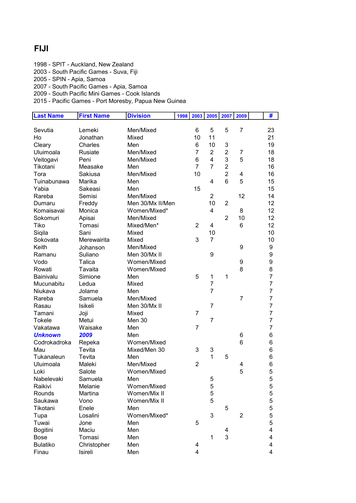#### FIJI

1998 - SPIT - Auckland, New Zealand

2003 - South Pacific Games - Suva, Fiji

2005 - SPIN - Apia, Samoa

2007 - South Pacific Games - Apia, Samoa

2009 - South Pacific Mini Games - Cook Islands

| <b>Last Name</b> | <b>First Name</b> | <b>Division</b>  | 1998 | 2003           | 2005           | 2007           | 2009           | #                |
|------------------|-------------------|------------------|------|----------------|----------------|----------------|----------------|------------------|
|                  |                   |                  |      |                |                |                |                |                  |
| Sevutia          | Lemeki            | Men/Mixed        |      | 6              | 5              | 5              | $\overline{7}$ | 23               |
| Ho               | Jonathan          | Mixed            |      | 10             | 11             |                |                | 21               |
| Cleary           | Charles           | Men              |      | 6              | 10             | 3              |                | 19               |
| Uluimoala        | Rusiate           | Men/Mixed        |      | $\overline{7}$ | $\overline{2}$ | $\overline{2}$ | 7              | 18               |
| Veitogavi        | Peni              | Men/Mixed        |      | 6              | $\overline{4}$ | 3              | 5              | 18               |
| Tikotani         | Measake           | Men              |      | $\overline{7}$ | $\overline{7}$ | $\overline{c}$ |                | 16               |
| Tora             | Sakiusa           | Men/Mixed        |      | 10             |                | $\overline{2}$ | 4              | 16               |
| Tuinabunawa      | Marika            | Men              |      |                | 4              | 6              | 5              | 15               |
| Yabia            | Sakeasi           | Men              |      | 15             |                |                |                | 15               |
| Rareba           | Semisi            | Men/Mixed        |      |                | $\overline{2}$ |                | 12             | 14               |
| Dumaru           | Freddy            | Men 30/Mx II/Men |      |                | 10             | $\overline{2}$ |                | 12               |
| Komaisavai       | Monica            | Women/Mixed*     |      |                | 4              |                | 8              | 12               |
| Sokomuri         | Apisai            | Men/Mixed        |      |                |                | $\overline{2}$ | 10             | 12               |
| Tiko             | Tomasi            | Mixed/Men*       |      | $\overline{2}$ | 4              |                | 6              | 12               |
| Siqila           | Sani              | Mixed            |      |                | 10             |                |                | 10               |
| Sokovata         | Merewairita       | Mixed            |      | 3              | $\overline{7}$ |                |                | 10               |
| Keith            | Johanson          | Men/Mixed        |      |                |                |                | 9              | 9                |
| Ramanu           | Suliano           | Men 30/Mx II     |      |                | 9              |                |                | $\boldsymbol{9}$ |
| Vodo             | Talica            | Women/Mixed      |      |                |                |                | 9              | 9                |
| Rowati           | Tavaita           | Women/Mixed      |      |                |                |                | 8              | 8                |
| Bainivalu        | Simione           | Men              |      | 5              | 1              | 1              |                | $\overline{7}$   |
| Mucunabitu       | Ledua             | Mixed            |      |                | $\overline{7}$ |                |                | $\overline{7}$   |
| Niukava          | Jolame            | Men              |      |                | $\overline{7}$ |                |                | $\overline{7}$   |
| Rareba           | Samuela           | Men/Mixed        |      |                |                |                | $\overline{7}$ | $\overline{7}$   |
| Rasau            | Isikeli           | Men 30/Mx II     |      |                | $\overline{7}$ |                |                | $\overline{7}$   |
| Tamani           | Joji              | Mixed            |      | 7              |                |                |                | $\overline{7}$   |
| <b>Tokele</b>    | Metui             | Men 30           |      |                | $\overline{7}$ |                |                | $\overline{7}$   |
| Vakatawa         | Waisake           | Men              |      | $\overline{7}$ |                |                |                | $\overline{7}$   |
| <b>Unknown</b>   | 2009              | Men              |      |                |                |                | 6              | 6                |
| Codrokadroka     | Repeka            | Women/Mixed      |      |                |                |                | 6              | 6                |
| Mau              | Tevita            | Mixed/Men 30     |      | 3              | 3              |                |                | 6                |
| Tukanaleun       | Tevita            | Men              |      |                | 1              | 5              |                | 6                |
| Uluimoala        | Maleki            | Men/Mixed        |      | $\overline{2}$ |                |                | 4              | 6                |
| Loki             | Salote            | Women/Mixed      |      |                |                |                | 5              | 5                |
| Nabelevaki       | Samuela           | Men              |      |                | 5              |                |                | 5                |
| Raikivi          | Melanie           | Women/Mixed      |      |                |                |                |                |                  |
|                  | Martina           | Women/Mix II     |      |                | 5<br>5         |                |                | 5<br>5           |
| Rounds           |                   |                  |      |                | 5              |                |                | 5                |
| Saukawa          | Vono              | Women/Mix II     |      |                |                |                |                |                  |
| Tikotani         | Enele             | Men              |      |                |                | 5              |                | 5                |
| Tupa             | Losalini          | Women/Mixed*     |      |                | 3              |                | $\overline{2}$ | 5                |
| Tuwai            | Jone              | Men              |      | 5              |                |                |                | 5                |
| Bogitini         | Maciu             | Men              |      |                |                | 4              |                | 4                |
| <b>Bose</b>      | Tomasi            | Men              |      |                | $\mathbf 1$    | 3              |                | 4                |
| <b>Bulatiko</b>  | Christopher       | Men              |      | 4              |                |                |                | 4                |
| Finau            | Isireli           | Men              |      | 4              |                |                |                | 4                |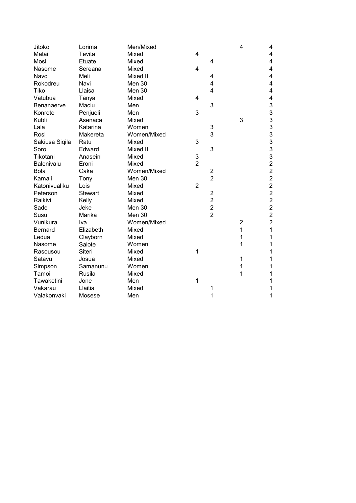| Jitoko         | Lorima         | Men/Mixed   |                |                         | 4              | 4              |
|----------------|----------------|-------------|----------------|-------------------------|----------------|----------------|
| Matai          | Tevita         | Mixed       | 4              |                         |                | 4              |
| Mosi           | Etuate         | Mixed       |                | 4                       |                | 4              |
| Nasome         | Sereana        | Mixed       | 4              |                         |                | 4              |
| Navo           | Meli           | Mixed II    |                | 4                       |                | 4              |
| Rokodreu       | Navi           | Men 30      |                | 4                       |                | 4              |
| Tiko           | Llaisa         | Men 30      |                | 4                       |                | 4              |
| Vatubua        | Tanya          | Mixed       | 4              |                         |                | 4              |
| Benanaerve     | Maciu          | Men         |                | 3                       |                | 3              |
| Konrote        | Penjueli       | Men         | 3              |                         |                | 3              |
| Kubli          | Asenaca        | Mixed       |                |                         | 3              | 3              |
| Lala           | Katarina       | Women       |                | 3                       |                | 3              |
| Rosi           | Makereta       | Women/Mixed |                | 3                       |                | 3              |
| Sakiusa Siqila | Ratu           | Mixed       | 3              |                         |                | 3              |
| Soro           | Edward         | Mixed II    |                | 3                       |                | 3              |
| Tikotani       | Anaseini       | Mixed       | 3              |                         |                | 3              |
| Balenivalu     | Eroni          | Mixed       | $\overline{2}$ |                         |                | $\overline{2}$ |
| <b>Bola</b>    | Caka           | Women/Mixed |                | $\overline{c}$          |                | $\overline{2}$ |
| Kamali         | Tony           | Men 30      |                | $\overline{2}$          |                | $\overline{2}$ |
| Katonivualiku  | Lois           | Mixed       | $\overline{2}$ |                         |                | $\overline{c}$ |
| Peterson       | <b>Stewart</b> | Mixed       |                | $\overline{\mathbf{c}}$ |                | $\overline{c}$ |
| Raikivi        | Kelly          | Mixed       |                | $\overline{c}$          |                | $\overline{c}$ |
| Sade           | Jeke           | Men 30      |                | $\overline{2}$          |                | $\overline{2}$ |
| Susu           | Marika         | Men 30      |                | $\overline{2}$          |                | $\overline{2}$ |
| Vunikura       | Iva            | Women/Mixed |                |                         | $\overline{2}$ | $\overline{2}$ |
| <b>Bernard</b> | Elizabeth      | Mixed       |                |                         | 1              | 1              |
| Ledua          | Clayborn       | Mixed       |                |                         | 1              | 1              |
| Nasome         | Salote         | Women       |                |                         | 1              | 1              |
| Rasousou       | <b>Siteri</b>  | Mixed       | 1              |                         |                | 1              |
| Satavu         | Josua          | Mixed       |                |                         | 1              | 1              |
| Simpson        | Samanunu       | Women       |                |                         | 1              | 1              |
| Tamoi          | Rusila         | Mixed       |                |                         | 1              | 1              |
| Tawaketini     | Jone           | Men         | 1              |                         |                | 1              |
| Vakarau        | Llaitia        | Mixed       |                | 1                       |                | 1              |
| Valakonvaki    | Mosese         | Men         |                | 1                       |                | 1              |
|                |                |             |                |                         |                |                |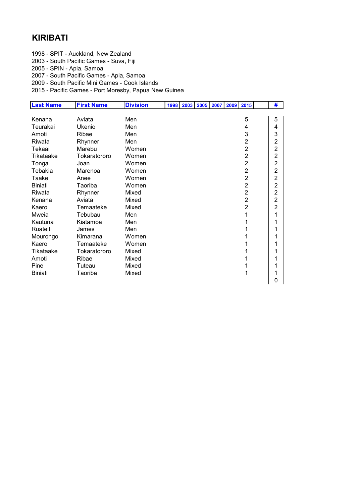# KIRIBATI

- 1998 SPIT Auckland, New Zealand
- 2003 South Pacific Games Suva, Fiji
- 2005 SPIN Apia, Samoa
- 2007 South Pacific Games Apia, Samoa
- 2009 South Pacific Mini Games Cook Islands
- 2015 Pacific Games Port Moresby, Papua New Guinea

| <b>Last Name</b> | <b>First Name</b> | <b>Division</b> | 1998 | 2003 | 2005 2007 | 2009 | 2015           | #                       |  |
|------------------|-------------------|-----------------|------|------|-----------|------|----------------|-------------------------|--|
|                  |                   |                 |      |      |           |      |                |                         |  |
| Kenana           | Aviata            | Men             |      |      |           |      | 5              | 5                       |  |
| Teurakai         | Ukenio            | Men             |      |      |           |      | 4              | 4                       |  |
| Amoti            | Ribae             | Men             |      |      |           |      | 3              | 3                       |  |
| Riwata           | Rhynner           | Men             |      |      |           |      | $\overline{2}$ | $\overline{c}$          |  |
| Tekaai           | Marebu            | Women           |      |      |           |      | $\overline{2}$ | $\overline{2}$          |  |
| Tikataake        | Tokaratororo      | Women           |      |      |           |      | $\overline{2}$ | $\boldsymbol{2}$        |  |
| Tonga            | Joan              | Women           |      |      |           |      | $\overline{2}$ | $\overline{c}$          |  |
| Tebakia          | Marenoa           | Women           |      |      |           |      | $\overline{2}$ | $\overline{\mathbf{c}}$ |  |
| Taake            | Anee              | Women           |      |      |           |      | $\overline{2}$ | $\overline{\mathbf{c}}$ |  |
| <b>Biniati</b>   | Taoriba           | Women           |      |      |           |      | $\overline{2}$ | $\boldsymbol{2}$        |  |
| Riwata           | Rhynner           | Mixed           |      |      |           |      | $\overline{2}$ | $\overline{\mathbf{c}}$ |  |
| Kenana           | Aviata            | Mixed           |      |      |           |      | $\overline{2}$ | $\overline{c}$          |  |
| Kaero            | Temaateke         | Mixed           |      |      |           |      | $\overline{2}$ | $\overline{2}$          |  |
| Mweia            | Tebubau           | Men             |      |      |           |      | 1              | 1                       |  |
| Kautuna          | Kiatamoa          | Men             |      |      |           |      | 1              | 1                       |  |
| Ruateiti         | James             | Men             |      |      |           |      | 1              | 1                       |  |
| Mourongo         | Kimarana          | Women           |      |      |           |      | 1              | 1                       |  |
| Kaero            | Temaateke         | Women           |      |      |           |      |                | 1                       |  |
| Tikataake        | Tokaratororo      | Mixed           |      |      |           |      |                | 1                       |  |
| Amoti            | Ribae             | Mixed           |      |      |           |      |                | 1                       |  |
| Pine             | Tuteau            | Mixed           |      |      |           |      | 1              | 1                       |  |
| <b>Biniati</b>   | Taoriba           | Mixed           |      |      |           |      | 1              | 1                       |  |
|                  |                   |                 |      |      |           |      |                | 0                       |  |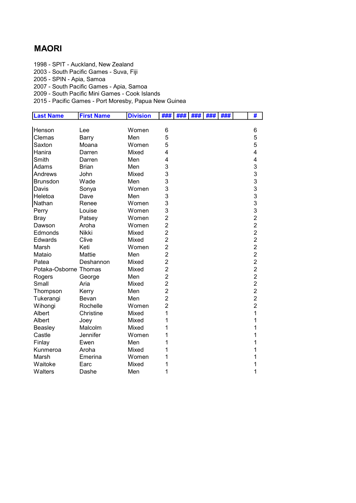## MAORI

1998 - SPIT - Auckland, New Zealand

2003 - South Pacific Games - Suva, Fiji

2005 - SPIN - Apia, Samoa

2007 - South Pacific Games - Apia, Samoa

2009 - South Pacific Mini Games - Cook Islands

| <b>Last Name</b>      | <b>First Name</b> | <b>Division</b> | ###            | ### | ### | ### | ### | #                       |
|-----------------------|-------------------|-----------------|----------------|-----|-----|-----|-----|-------------------------|
|                       |                   |                 |                |     |     |     |     |                         |
| Henson                | Lee               | Women           | 6              |     |     |     |     | 6                       |
| Clemas                | Barry             | Men             | 5              |     |     |     |     | 5                       |
| Saxton                | Moana             | Women           | 5              |     |     |     |     | 5                       |
| Hanira                | Darren            | Mixed           | 4              |     |     |     |     | $\overline{\mathbf{4}}$ |
| Smith                 | Darren            | Men             | 4              |     |     |     |     | 4                       |
| Adams                 | <b>Brian</b>      | Men             | 3              |     |     |     |     | 3                       |
| Andrews               | John              | Mixed           | 3              |     |     |     |     | 3                       |
| <b>Brunsdon</b>       | Wade              | Men             | 3              |     |     |     |     | 3                       |
| Davis                 | Sonya             | Women           | 3              |     |     |     |     | 3                       |
| Heletoa               | Dave              | Men             | 3              |     |     |     |     | 3                       |
| Nathan                | Renee             | Women           | 3              |     |     |     |     | 3                       |
| Perry                 | Louise            | Women           | 3              |     |     |     |     | 3                       |
| Bray                  | Patsey            | Women           | $\overline{2}$ |     |     |     |     | $\overline{2}$          |
| Dawson                | Aroha             | Women           | $\overline{2}$ |     |     |     |     | $\overline{2}$          |
| Edmonds               | Nikki             | Mixed           | $\overline{2}$ |     |     |     |     | $\overline{2}$          |
| <b>Edwards</b>        | Clive             | Mixed           | $\overline{2}$ |     |     |     |     | $\overline{2}$          |
| Marsh                 | Keti              | Women           | $\overline{2}$ |     |     |     |     | $\overline{2}$          |
| Mataio                | <b>Mattie</b>     | Men             | $\overline{2}$ |     |     |     |     | $\overline{2}$          |
| Patea                 | Deshannon         | Mixed           | $\overline{2}$ |     |     |     |     | $\overline{c}$          |
| Potaka-Osborne Thomas |                   | Mixed           | $\overline{2}$ |     |     |     |     | $\overline{c}$          |
| Rogers                | George            | Men             | $\overline{2}$ |     |     |     |     | $\overline{2}$          |
| Small                 | Aria              | Mixed           | $\overline{2}$ |     |     |     |     | $\overline{c}$          |
| Thompson              | Kerry             | Men             | $\overline{2}$ |     |     |     |     | $\overline{c}$          |
| Tukerangi             | Bevan             | Men             | $\overline{2}$ |     |     |     |     | $\overline{2}$          |
| Wihongi               | Rochelle          | Women           | $\overline{2}$ |     |     |     |     | $\overline{2}$          |
| Albert                | Christine         | Mixed           | 1              |     |     |     |     | 1                       |
| Albert                | Joey              | Mixed           | 1              |     |     |     |     | 1                       |
| Beasley               | Malcolm           | Mixed           | 1              |     |     |     |     | 1                       |
| Castle                | Jennifer          | Women           | 1              |     |     |     |     | 1                       |
| Finlay                | Ewen              | Men             | 1              |     |     |     |     | 1                       |
| Kunmeroa              | Aroha             | Mixed           | 1              |     |     |     |     | 1                       |
| Marsh                 | Emerina           | Women           | 1              |     |     |     |     | 1                       |
| Waitoke               | Earc              | Mixed           | 1              |     |     |     |     | 1                       |
| Walters               | Dashe             | Men             | 1              |     |     |     |     | 1                       |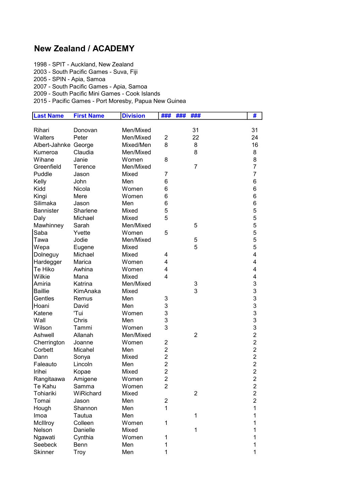# New Zealand / ACADEMY

1998 - SPIT - Auckland, New Zealand

2003 - South Pacific Games - Suva, Fiji

2005 - SPIN - Apia, Samoa

2007 - South Pacific Games - Apia, Samoa

2009 - South Pacific Mini Games - Cook Islands

| <b>Last Name</b>     | <b>First Name</b> | <b>Division</b> | ###                     | ###<br>###     | #              |
|----------------------|-------------------|-----------------|-------------------------|----------------|----------------|
|                      |                   |                 |                         |                |                |
| Rihari               | Donovan           | Men/Mixed       |                         | 31             | 31             |
| Walters              | Peter             | Men/Mixed       | $\overline{2}$          | 22             | 24             |
| Albert-Jahnke George |                   | Mixed/Men       | 8                       | 8              | 16             |
| Kumeroa              | Claudia           | Men/Mixed       |                         | 8              | 8              |
| Wihane               | Janie             | Women           | 8                       |                | 8              |
| Greenfield           | Terence           | Men/Mixed       |                         | 7              | $\overline{7}$ |
| Puddle               | Jason             | Mixed           | 7                       |                | 7              |
| Kelly                | John              | Men             | 6                       |                | 6              |
| Kidd                 | Nicola            | Women           | 6                       |                | 6              |
| Kingi                | Mere              | Women           | 6                       |                | 6              |
| Silimaka             | Jason             | Men             | 6                       |                | 6              |
| <b>Bannister</b>     | Sharlene          | Mixed           | 5                       |                | 5              |
| Daly                 | Michael           | Mixed           | 5                       |                | 5              |
| Mawhinney            | Sarah             | Men/Mixed       |                         | 5              | 5              |
| Saba                 | Yvette            | Women           | 5                       |                | 5              |
| Tawa                 | Jodie             | Men/Mixed       |                         | 5              | 5              |
| Wepa                 | Eugene            | Mixed           |                         | 5              | 5              |
| Dolneguy             | Michael           | Mixed           | 4                       |                | 4              |
| Hardegger            | Marica            | Women           | 4                       |                | 4              |
| Te Hiko              | Awhina            | Women           | 4                       |                | 4              |
| Wilkie               | Mana              | Mixed           | 4                       |                | 4              |
| Amiria               | Katrina           | Men/Mixed       |                         | 3              | 3              |
| <b>Baillie</b>       | KimAnaka          | Mixed           |                         | 3              | 3              |
| Gentles              | Remus             | Men             | 3                       |                | 3              |
| Hoani                | David             | Men             | 3                       |                | 3              |
| Katene               | 'Tui              | Women           | 3                       |                | 3              |
| Wall                 | Chris             | Men             | 3                       |                | 3              |
| Wilson               | Tammi             | Women           | 3                       |                | 3              |
| Ashwell              | Allanah           | Men/Mixed       |                         | $\overline{2}$ | $\overline{2}$ |
| Cherrington          | Joanne            | Women           | 2                       |                | $\overline{2}$ |
| Corbett              | Micahel           | Men             | $\overline{2}$          |                | $\overline{c}$ |
| Dann                 | Sonya             | Mixed           | $\overline{2}$          |                | $\overline{2}$ |
| Faleauto             | Lincoln           | Men             | $\overline{2}$          |                | $\overline{c}$ |
| Irihei               | Kopae             | Mixed           | $\overline{2}$          |                | $\overline{2}$ |
| Rangitaawa           | Amigene           | Women           | $\mathfrak{p}$          |                | $\overline{2}$ |
| Te Kahu              | Samma             | Women           | $\overline{2}$          |                | $\overline{c}$ |
| Tohiariki            | WiRichard         | Mixed           |                         | 2              | $\overline{c}$ |
| Tomai                | Jason             | Men             | $\overline{\mathbf{c}}$ |                | $\overline{c}$ |
| Hough                | Shannon           | Men             | $\mathbf{1}$            |                | 1              |
| Imoa                 | Tautua            | Men             |                         | 1              | 1              |
| McIllroy             | Colleen           | Women           | 1                       |                | 1              |
| Nelson               | Danielle          | Mixed           |                         | 1              | 1              |
| Ngawati              | Cynthia           | Women           | 1                       |                | 1              |
| Seebeck              | Benn              | Men             | 1                       |                | 1              |
| <b>Skinner</b>       | Troy              | Men             | 1                       |                | 1              |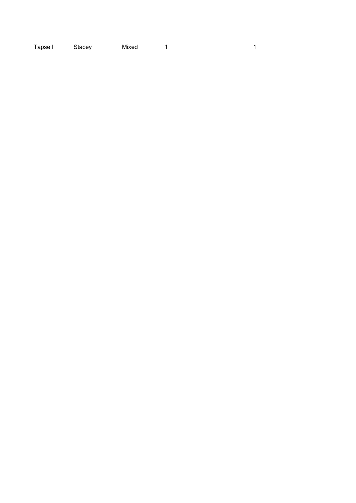| Tapseil | Stacey | Mixed |  |  |
|---------|--------|-------|--|--|
|---------|--------|-------|--|--|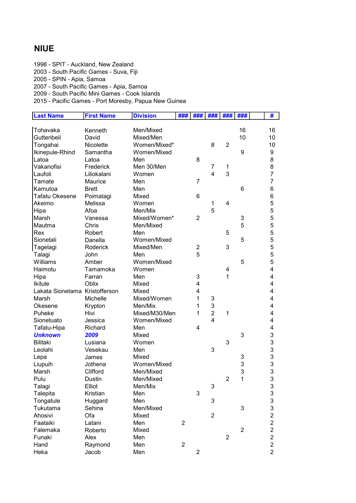#### NIUE

1998 - SPIT - Auckland, New Zealand

2003 - South Pacific Games - Suva, Fiji

2005 - SPIN - Apia, Samoa

2007 - South Pacific Games - Apia, Samoa

2009 - South Pacific Mini Games - Cook Islands

| <b>Last Name</b>               | <b>First Name</b> | <b>Division</b> | ###            | ###                     | ###            | ###            | ###            | #                                          |
|--------------------------------|-------------------|-----------------|----------------|-------------------------|----------------|----------------|----------------|--------------------------------------------|
|                                |                   |                 |                |                         |                |                |                |                                            |
| Tohavaka                       | Kenneth           | Men/Mixed       |                |                         |                |                | 16             | 16                                         |
| Guttenbeil                     | David             | Mixed/Men       |                |                         |                |                | 10             | 10                                         |
| Tongahai                       | Nicolette         | Women/Mixed*    |                |                         | 8              | $\overline{2}$ |                | 10                                         |
| Ikinepule-Rhind                | Samantha          | Women/Mixed     |                |                         |                |                | 9              | 9                                          |
| Latoa                          | Latoa             | Men             |                | 8                       |                |                |                | 8                                          |
| Vakanofisi                     | Frederick         | Men 30/Men      |                |                         | 7              | 1              |                | 8                                          |
| Laufoli                        | Liliokalani       | Women           |                |                         | $\overline{4}$ | 3              |                | $\overline{7}$                             |
| Tamate                         | Maurice           | Men             |                | 7                       |                |                |                | $\overline{7}$                             |
| Kamutoa                        | <b>Brett</b>      | Men             |                |                         |                |                | 6              | 6                                          |
| <b>Tafatu Okesene</b>          | Poimatagi         | Mixed           |                | 6                       |                |                |                | 6                                          |
| Akeimo                         | Melissa           | Women           |                |                         | 1              | 4              |                | 5                                          |
| Hipa                           | Afoa              | Men/Mix         |                |                         | 5              |                |                | 5                                          |
| Marsh                          | Vanessa           | Mixed/Women*    |                | $\overline{2}$          |                |                | 3              | 5                                          |
| Mautma                         | Chris             | Men/Mixed       |                |                         |                |                | 5              | 5                                          |
| Rex                            | Robert            | Men             |                |                         |                | 5              |                | 5                                          |
| Sionetali                      | Danella           | Women/Mixed     |                |                         |                |                | 5              | 5                                          |
| Tagelagi                       | Roderick          | Mixed/Men       |                | $\overline{2}$          |                | 3              |                | 5                                          |
| Talagi                         | John              | Men             |                | 5                       |                |                |                | 5                                          |
| Williams                       | Amber             | Women/Mixed     |                |                         |                |                | 5              | 5                                          |
| Haimotu                        | Tamamoka          | Women           |                |                         |                | 4              |                | $\overline{\mathbf{4}}$                    |
| Hipa                           | Farran            | Men             |                | 3                       |                | 1              |                | 4                                          |
| <b>Ikitule</b>                 | Oblix             | Mixed           |                | 4                       |                |                |                | $\overline{\mathbf{4}}$                    |
| Lakata Sionetama Kristofferson |                   | Mixed           |                | 4                       |                |                |                | $\overline{\mathbf{4}}$                    |
| Marsh                          | Michelle          | Mixed/Women     |                | 1                       | 3              |                |                | $\overline{\mathbf{4}}$                    |
| Okesene                        | Krypton           | Men/Mix         |                | 1                       | 3              |                |                | $\overline{\mathbf{4}}$                    |
| Puheke                         | Hivi              | Mixed/M30/Men   |                | 1                       | $\overline{2}$ | 1              |                | 4                                          |
| Sionetuato                     | Jessica           | Women/Mixed     |                |                         | 4              |                |                | 4                                          |
| Tafatu-Hipa                    | Richard           | Men             |                | 4                       |                |                |                | 4                                          |
| <b>Unknown</b>                 | 2009              | Mixed           |                |                         |                |                | 3              | 3                                          |
| <b>Bilitaki</b>                | Lusiana           | Women           |                |                         |                | 3              |                | 3                                          |
| Leolahi                        | Vesekau           | Men             |                |                         | 3              |                |                | 3                                          |
| Lepa                           | James             | Mixed           |                |                         |                |                | 3              |                                            |
| Liupuih                        | Jothena           | Women/Mixed     |                |                         |                |                | 3              | $\begin{array}{c} 3 \\ 3 \end{array}$      |
| Marsh                          | Clifford          | Men/Mixed       |                |                         |                |                | 3              |                                            |
| Pulu                           | Dustin            | Men/Mixed       |                |                         |                | $\overline{2}$ | 1              | 3                                          |
| Talagi                         | Elliot            | Men/Mix         |                |                         | 3              |                |                | $\mathbf{3}$                               |
| Talepita                       | Kristian          | Men             |                | 3                       |                |                |                |                                            |
| Tongatule                      | Huggard           | Men             |                |                         | 3              |                |                | $\begin{array}{c} 3 \\ 3 \\ 3 \end{array}$ |
| Tukutama                       | Sehina            | Men/Mixed       |                |                         |                |                | 3              |                                            |
| Ahosivi                        | Ofa               | Mixed           |                |                         | $\overline{2}$ |                |                | $\overline{2}$                             |
| Faataiki                       | Latani            | Men             | $\overline{2}$ |                         |                |                |                | $\overline{c}$                             |
| Falemaka                       | Roberto           | Mixed           |                |                         |                |                | $\overline{2}$ | $\overline{c}$                             |
| Funaki                         | Alex              | Men             |                |                         |                | $\overline{2}$ |                | $\overline{c}$                             |
| Hand                           | Raymond           | Men             | $\overline{2}$ |                         |                |                |                | $\overline{c}$                             |
|                                |                   |                 |                |                         |                |                |                |                                            |
| Heka                           | Jacob             | Men             |                | $\overline{\mathbf{c}}$ |                |                |                | $\overline{c}$                             |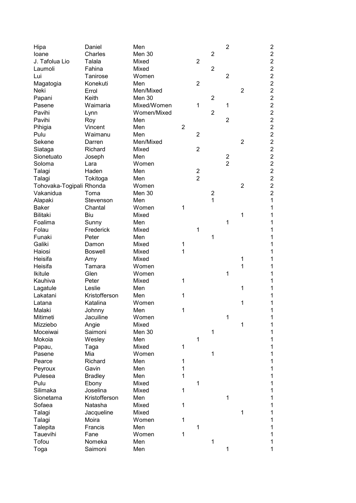| Hipa                     | Daniel         | Men         |                |                |                | $\overline{c}$ |                | $\overline{\mathbf{c}}$ |
|--------------------------|----------------|-------------|----------------|----------------|----------------|----------------|----------------|-------------------------|
| loane                    | Charles        | Men 30      |                |                | $\overline{2}$ |                |                | $\overline{c}$          |
| J. Tafolua Lio           | Talala         | Mixed       |                | $\overline{2}$ |                |                |                | $\overline{c}$          |
| Laumoli                  | Fahina         | Mixed       |                |                | $\overline{2}$ |                |                | $\overline{c}$          |
| Lui                      | Tanirose       | Women       |                |                |                | $\overline{2}$ |                | $\overline{c}$          |
|                          |                |             |                |                |                |                |                |                         |
| Magatogia                | Konekuti       | Men         |                | $\overline{2}$ |                |                |                | $\overline{c}$          |
| Neki                     | Errol          | Men/Mixed   |                |                |                |                | $\overline{2}$ | $\overline{\mathbf{c}}$ |
| Papani                   | Keith          | Men 30      |                |                | $\overline{2}$ |                |                | $\overline{c}$          |
| Pasene                   | Waimaria       | Mixed/Women |                | 1              |                | 1              |                | $\overline{2}$          |
| Pavihi                   | Lynn           | Women/Mixed |                |                | $\overline{2}$ |                |                | $\overline{2}$          |
| Pavihi                   | Roy            | Men         |                |                |                | $\overline{2}$ |                | $\overline{2}$          |
| Pihigia                  | Vincent        | Men         | $\overline{2}$ |                |                |                |                | $\overline{2}$          |
| Pulu                     | Waimanu        | Men         |                | $\overline{2}$ |                |                |                | $\overline{2}$          |
| Sekene                   | Darren         | Men/Mixed   |                |                |                |                | $\overline{2}$ | $\overline{2}$          |
| Siataga                  | Richard        | Mixed       |                | $\overline{2}$ |                |                |                | $\overline{2}$          |
| Sionetuato               | Joseph         | Men         |                |                |                | $\overline{2}$ |                | $\overline{2}$          |
| Soloma                   | Lara           | Women       |                |                |                | $\overline{c}$ |                | $\overline{c}$          |
| Talagi                   | Haden          | Men         |                | $\overline{2}$ |                |                |                | $\overline{c}$          |
| Talagi                   | Tokitoga       | Men         |                | $\overline{2}$ |                |                |                | $\overline{2}$          |
| Tohovaka-Togipali Rhonda |                | Women       |                |                |                |                | $\overline{2}$ | $\overline{c}$          |
| Vakanidua                | Toma           | Men 30      |                |                | $\overline{c}$ |                |                | $\overline{2}$          |
| Alapaki                  | Stevenson      | Men         |                |                | $\mathbf{1}$   |                |                | 1                       |
| <b>Baker</b>             | Chantal        | Women       | 1              |                |                |                |                | 1                       |
| <b>Bilitaki</b>          | Biu            | Mixed       |                |                |                |                | 1              | 1                       |
| Foalima                  | Sunny          | Men         |                |                |                | 1              |                | 1                       |
|                          | Frederick      |             |                |                |                |                |                |                         |
| Folau                    |                | Mixed       |                | 1              |                |                |                | 1                       |
| Funaki                   | Peter          | Men         |                |                | 1              |                |                | 1                       |
| Galiki                   | Damon          | Mixed       | 1              |                |                |                |                | 1                       |
| Haiosi                   | <b>Boswell</b> | Mixed       | 1              |                |                |                |                | 1                       |
| Heisifa                  | Amy            | Mixed       |                |                |                |                | 1              | 1                       |
| Heisifa                  | Tamara         | Women       |                |                |                |                | 1              | 1                       |
| <b>Ikitule</b>           | Glen           | Women       |                |                |                | 1              |                | 1                       |
| Kauhiva                  | Peter          | Mixed       | 1              |                |                |                |                | 1                       |
| Lagatule                 | Leslie         | Men         |                |                |                |                | 1              | 1                       |
| Lakatani                 | Kristofferson  | Men         | 1              |                |                |                |                | 1                       |
| Latana                   | Katalina       | Women       |                |                |                |                | 1              | 1                       |
| Malaki                   | Johnny         | Men         | 1              |                |                |                |                | $\mathbf{1}$            |
| Mitimeti                 | Jacuiline      | Women       |                |                |                | 1              |                | 1                       |
| Mizziebo                 | Angie          | Mixed       |                |                |                |                | 1              | 1                       |
| Moceiwai                 | Saimoni        | Men 30      |                |                | 1              |                |                | 1                       |
| Mokoia                   | Wesley         | Men         |                | 1              |                |                |                | 1                       |
| Papau,                   | Taga           | Mixed       | 1              |                |                |                |                | 1                       |
| Pasene                   | Mia            | Women       |                |                | 1              |                |                | 1                       |
| Pearce                   | Richard        | Men         | 1              |                |                |                |                | 1                       |
| Peyroux                  | Gavin          | Men         | 1              |                |                |                |                | 1                       |
| Pulesea                  | <b>Bradley</b> | Men         | 1              |                |                |                |                | 1                       |
| Pulu                     |                | Mixed       |                | $\mathbf{1}$   |                |                |                |                         |
| Silimaka                 | Ebony          | Mixed       |                |                |                |                |                | 1                       |
|                          | Joselina       |             | 1              |                |                |                |                | 1                       |
| Sionetama                | Kristofferson  | Men         |                |                |                | $\mathbf{1}$   |                | 1                       |
| Sofaea                   | Natasha        | Mixed       | 1              |                |                |                |                | 1                       |
| Talagi                   | Jacqueline     | Mixed       |                |                |                |                | 1              | 1                       |
| Talagi                   | Moira          | Women       | 1              |                |                |                |                | 1                       |
| Talepita                 | Francis        | Men         |                | 1              |                |                |                | 1                       |
| Tauevihi                 | Fane           | Women       | 1              |                |                |                |                | 1                       |
| Tofou                    | Nomeka         | Men         |                |                | 1              |                |                | 1                       |
| Toga                     | Saimoni        | Men         |                |                |                | 1              |                | 1                       |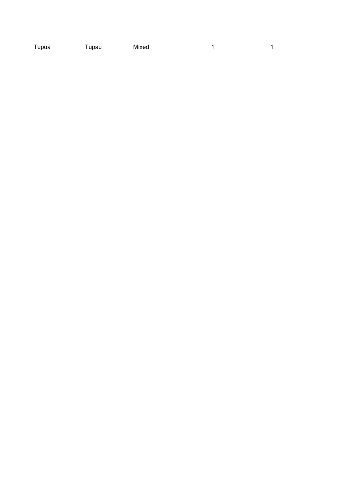of the two methods of the Tupau Mixed in the two methods of the two methods of the two methods of the two methods of the two methods of the two methods of two methods of two methods of two methods of two methods of two met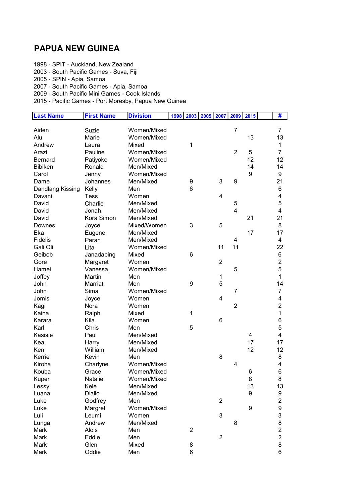### PAPUA NEW GUINEA

1998 - SPIT - Auckland, New Zealand

2003 - South Pacific Games - Suva, Fiji

2005 - SPIN - Apia, Samoa

2007 - South Pacific Games - Apia, Samoa

2009 - South Pacific Mini Games - Cook Islands

| <b>Last Name</b> | <b>First Name</b> | <b>Division</b> | 1998 | 2003 2005      | 2007                    | 2009           | 2015 | #                       |
|------------------|-------------------|-----------------|------|----------------|-------------------------|----------------|------|-------------------------|
|                  |                   |                 |      |                |                         |                |      |                         |
| Aiden            | Suzie             | Women/Mixed     |      |                |                         | $\overline{7}$ |      | $\overline{7}$          |
| Alu              | Marie             | Women/Mixed     |      |                |                         |                | 13   | 13                      |
| Andrew           | Laura             | Mixed           |      | 1              |                         |                |      | 1                       |
| Arazi            | Pauline           | Women/Mixed     |      |                |                         | $\overline{2}$ | 5    | $\overline{7}$          |
| <b>Bernard</b>   | Patiyoko          | Women/Mixed     |      |                |                         |                | 12   | 12                      |
| <b>Bibiken</b>   | Ronald            | Men/Mixed       |      |                |                         |                | 14   | 14                      |
| Carol            | Jenny             | Women/Mixed     |      |                |                         |                | 9    | 9                       |
| Dame             | Johannes          | Men/Mixed       |      | 9              | $\mathbf{3}$            | 9              |      | 21                      |
| Dandlang Kissing | Kelly             | Men             |      | 6              |                         |                |      | 6                       |
| Davani           | <b>Tess</b>       | Women           |      |                | 4                       |                |      | 4                       |
| David            | Charlie           | Men/Mixed       |      |                |                         | 5              |      | 5                       |
| David            | Jonah             | Men/Mixed       |      |                |                         | $\overline{4}$ |      | 4                       |
| David            | Kora Simon        | Men/Mixed       |      |                |                         |                | 21   | 21                      |
| Downes           | Joyce             | Mixed/Women     |      | 3              | 5                       |                |      | 8                       |
| Eka              | Eugene            | Men/Mixed       |      |                |                         |                | 17   | 17                      |
| <b>Fidelis</b>   | Paran             | Men/Mixed       |      |                |                         | 4              |      | $\overline{\mathbf{4}}$ |
| Gali Oli         | Lita              | Women/Mixed     |      |                | 11                      | 11             |      | 22                      |
| Geibob           | Janadabing        | Mixed           |      | 6              |                         |                |      | 6                       |
| Gore             | Margaret          | Women           |      |                | $\overline{2}$          |                |      | $\overline{c}$          |
| Hamei            | Vanessa           | Women/Mixed     |      |                |                         | 5              |      | 5                       |
| Joffey           | Martin            | Men             |      |                | 1                       |                |      | $\mathbf{1}$            |
| John             | Marriat           | Men             |      | 9              | 5                       |                |      | 14                      |
| John             | Sima              | Women/Mixed     |      |                |                         | $\overline{7}$ |      | 7                       |
| Jomis            | Joyce             | Women           |      |                | $\overline{\mathbf{4}}$ |                |      | 4                       |
| Kagi             | Nora              | Women           |      |                |                         | $\overline{2}$ |      | $\overline{2}$          |
| Kaina            | Ralph             | Mixed           |      | 1              |                         |                |      | $\mathbf{1}$            |
| Karara           | Kila              | Women           |      |                | 6                       |                |      | 6                       |
| Karl             | Chris             | Men             |      | 5              |                         |                |      | 5                       |
| Kasisie          | Paul              | Men/Mixed       |      |                |                         |                | 4    | 4                       |
| Kea              | Harry             | Men/Mixed       |      |                |                         |                | 17   | 17                      |
| Ken              | William           | Men/Mixed       |      |                |                         |                | 12   | 12                      |
| Kerrie           | Kevin             | Men             |      |                | 8                       |                |      | 8                       |
| Kiroha           | Charlyne          | Women/Mixed     |      |                |                         | 4              |      | 4                       |
| Kouba            | Grace             | Women/Mixed     |      |                |                         |                | 6    | 6                       |
| Kuper            | Natalie           | Women/Mixed     |      |                |                         |                | 8    | 8                       |
| Lessy            | Kele              | Men/Mixed       |      |                |                         |                | 13   | 13                      |
| Luana            | Diallo            | Men/Mixed       |      |                |                         |                | 9    | 9                       |
| Luke             | Godfrey           | Men             |      |                | $\overline{c}$          |                |      | 2                       |
| Luke             | Margret           | Women/Mixed     |      |                |                         |                | 9    | 9                       |
| Luli             | Leumi             | Women           |      |                | $\mathbf{3}$            |                |      | 3                       |
| Lunga            | Andrew            | Men/Mixed       |      |                |                         | 8              |      | 8                       |
| Mark             | Alois             | Men             |      | $\overline{c}$ |                         |                |      | 2                       |
| Mark             | Eddie             | Men             |      |                | $\overline{2}$          |                |      | $\overline{\mathbf{c}}$ |
| Mark             | Glen              | Mixed           |      | 8              |                         |                |      | 8                       |
| Mark             | Oddie             | Men             |      | 6              |                         |                |      | 6                       |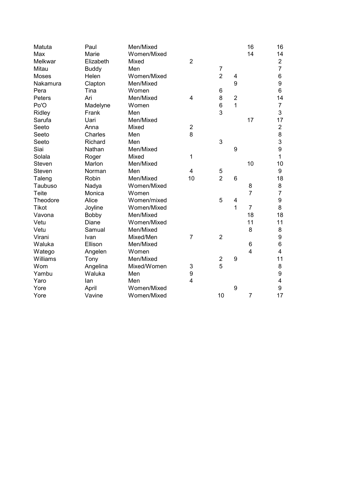| Matuta       | Paul         | Men/Mixed   |                |                  |                  | 16              | 16                      |
|--------------|--------------|-------------|----------------|------------------|------------------|-----------------|-------------------------|
| Max          | Marie        | Women/Mixed |                |                  |                  | 14              | 14                      |
| Melkwar      | Elizabeth    | Mixed       | $\overline{2}$ |                  |                  |                 | $\overline{\mathbf{c}}$ |
| Mitau        | <b>Buddy</b> | Men         |                | 7                |                  |                 | $\overline{7}$          |
| <b>Moses</b> | Helen        | Women/Mixed |                | $\overline{2}$   | 4                |                 | 6                       |
| Nakamura     | Clapton      | Men/Mixed   |                |                  | 9                |                 | 9                       |
| Pera         | Tina         | Women       |                | $\,6$            |                  |                 | 6                       |
| Peters       | Ari          | Men/Mixed   | 4              | 8                | $\overline{2}$   |                 | 14                      |
| Po'O         | Madelyne     | Women       |                | $\,6$            | 1                |                 | $\overline{7}$          |
| Ridley       | Frank        | Men         |                | 3                |                  |                 | 3                       |
| Sarufa       | Uari         | Men/Mixed   |                |                  |                  | 17              | 17                      |
| Seeto        | Anna         | Mixed       | $\overline{c}$ |                  |                  |                 | $\overline{\mathbf{c}}$ |
| Seeto        | Charles      | Men         | 8              |                  |                  |                 | 8                       |
| Seeto        | Richard      | Men         |                | 3                |                  |                 | 3                       |
| Siai         | Nathan       | Men/Mixed   |                |                  | 9                |                 | 9                       |
| Solala       | Roger        | Mixed       | 1              |                  |                  |                 | 1                       |
| Steven       | Marlon       | Men/Mixed   |                |                  |                  | 10              | 10                      |
| Steven       | Norman       | Men         | 4              | 5                |                  |                 | 9                       |
| Taleng       | Robin        | Men/Mixed   | 10             | $\overline{2}$   | 6                |                 | 18                      |
| Taubuso      | Nadya        | Women/Mixed |                |                  |                  | 8               | 8                       |
| <b>Teite</b> | Monica       | Women       |                |                  |                  | $\overline{7}$  | $\overline{7}$          |
| Theodore     | Alice        | Women/mixed |                | 5                | 4                |                 | 9                       |
| <b>Tikot</b> | Joyline      | Women/Mixed |                |                  | 1                | $\overline{7}$  | 8                       |
| Vavona       | <b>Bobby</b> | Men/Mixed   |                |                  |                  | 18              | 18                      |
| Vetu         | Diane        | Women/Mixed |                |                  |                  | 11              | 11                      |
| Vetu         | Samual       | Men/Mixed   |                |                  |                  | 8               | 8                       |
| Virani       | Ivan         | Mixed/Men   | $\overline{7}$ | $\overline{2}$   |                  |                 | 9                       |
| Waluka       | Ellison      | Men/Mixed   |                |                  |                  | $6\phantom{1}6$ | 6                       |
| Watego       | Angelen      | Women       |                |                  |                  | 4               | 4                       |
| Williams     | Tony         | Men/Mixed   |                | $\boldsymbol{2}$ | $\boldsymbol{9}$ |                 | 11                      |
| Wom          | Angelina     | Mixed/Women | 3              | 5                |                  |                 | 8                       |
| Yambu        | Waluka       | Men         | 9              |                  |                  |                 | 9                       |
| Yaro         | lan          | Men         | $\overline{4}$ |                  |                  |                 | 4                       |
| Yore         | April        | Women/Mixed |                |                  | 9                |                 | 9                       |
| Yore         | Vavine       | Women/Mixed |                | 10               |                  | $\overline{7}$  | 17                      |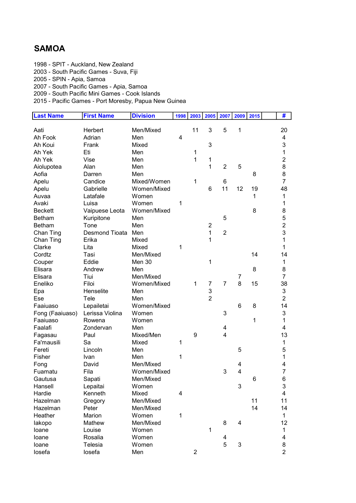## SAMOA

1998 - SPIT - Auckland, New Zealand

2003 - South Pacific Games - Suva, Fiji

2005 - SPIN - Apia, Samoa

2007 - South Pacific Games - Apia, Samoa

2009 - South Pacific Mini Games - Cook Islands

| <b>Last Name</b> | <b>First Name</b>  | <b>Division</b> | 1998 | 2003           | 2005           | 2007           | 2009                      | 2015 | #                       |
|------------------|--------------------|-----------------|------|----------------|----------------|----------------|---------------------------|------|-------------------------|
|                  |                    |                 |      |                |                |                |                           |      |                         |
| Aati             | Herbert            | Men/Mixed       |      | 11             | 3              | 5              | 1                         |      | 20                      |
| Ah Fook          | Adrian             | Men             | 4    |                |                |                |                           |      | 4                       |
| Ah Koui          | Frank              | Mixed           |      |                | 3              |                |                           |      | 3                       |
| Ah Yek           | Eti                | Men             |      | 1              |                |                |                           |      | 1                       |
| Ah Yek           | Vise               | Men             |      | 1              | 1              |                |                           |      | $\overline{2}$          |
| Aiolupotea       | Alan               | Men             |      |                | 1              | $\overline{2}$ | 5                         |      | 8                       |
| Aofia            | Darren             | Men             |      |                |                |                |                           | 8    | 8                       |
| Apelu            | Candice            | Mixed/Women     |      | 1              |                | 6              |                           |      | $\overline{7}$          |
| Apelu            | Gabrielle          | Women/Mixed     |      |                | 6              | 11             | 12                        | 19   | 48                      |
| Auvaa            | Latafale           | Women           |      |                |                |                |                           | 1    | 1                       |
| Avaki            | Luisa              | Women           | 1    |                |                |                |                           |      | 1                       |
| <b>Beckett</b>   | Vaipuese Leota     | Women/Mixed     |      |                |                |                |                           | 8    | 8                       |
| <b>Betham</b>    | Kuripitone         | Men             |      |                |                | 5              |                           |      | 5                       |
| <b>Betham</b>    | Tone               | Men             |      |                | $\overline{2}$ |                |                           |      | $\overline{\mathbf{c}}$ |
| Chan Ting        | Desmond Tioata Men |                 |      |                | $\mathbf{1}$   | $\overline{2}$ |                           |      | 3                       |
| Chan Ting        | Erika              | Mixed           |      |                | 1              |                |                           |      | 1                       |
| Clarke           | Lita               | Mixed           | 1    |                |                |                |                           |      | 1                       |
| Cordtz           | Tasi               | Men/Mixed       |      |                |                |                |                           | 14   | 14                      |
| Couper           | Eddie              | Men 30          |      |                | 1              |                |                           |      | 1                       |
| Elisara          | Andrew             | Men             |      |                |                |                |                           | 8    | 8                       |
| Elisara          | Tiui               | Men/Mixed       |      |                |                |                | $\overline{7}$            |      | $\overline{7}$          |
| Eneliko          | Filoi              | Women/Mixed     |      | 1              | $\overline{7}$ | $\overline{7}$ | 8                         | 15   | 38                      |
| Epa              | Henselite          | Men             |      |                | 3              |                |                           |      | 3                       |
| Ese              | Tele               | Men             |      |                | $\overline{2}$ |                |                           |      | $\overline{2}$          |
| Faaiuaso         | Lepailetai         | Women/Mixed     |      |                |                |                | 6                         | 8    | 14                      |
| Fong (Faaiuaso)  | Lerissa Violina    | Women           |      |                |                | 3              |                           |      | 3                       |
| Faaiuaso         | Rowena             | Women           |      |                |                |                |                           | 1    | $\mathbf{1}$            |
| Faalafi          | Zondervan          | Men             |      |                |                | 4              |                           |      | 4                       |
| Fagasau          | Paul               | Mixed/Men       |      | 9              |                | $\overline{4}$ |                           |      | 13                      |
| Fa'mausili       | Sa                 | Mixed           | 1    |                |                |                |                           |      | 1                       |
| Fereti           | Lincoln            | Men             |      |                |                |                | 5                         |      | 5                       |
| Fisher           | Ivan               | Men             | 1    |                |                |                |                           |      | 1                       |
| Fong             | David              | Men/Mixed       |      |                |                |                | 4                         |      | 4                       |
| Fuamatu          | Fila               | Women/Mixed     |      |                |                | 3              | 4                         |      | 7                       |
| Gautusa          | Sapati             | Men/Mixed       |      |                |                |                |                           | 6    | 6                       |
| Hansell          | Lepaitai           | Women           |      |                |                |                | 3                         |      | 3                       |
| Hardie           | Kenneth            | Mixed           | 4    |                |                |                |                           |      | 4                       |
| Hazelman         | Gregory            | Men/Mixed       |      |                |                |                |                           | 11   | 11                      |
| Hazelman         | Peter              | Men/Mixed       |      |                |                |                |                           | 14   | 14                      |
| Heather          | Marion             | Women           | 1    |                |                |                |                           |      | 1                       |
| lakopo           | Mathew             | Men/Mixed       |      |                |                | 8              | 4                         |      | 12                      |
| loane            | Louise             | Women           |      |                | 1              |                |                           |      | 1                       |
| loane            | Rosalia            | Women           |      |                |                | 4              |                           |      | 4                       |
| loane            | Telesia            | Women           |      |                |                | 5              | $\ensuremath{\mathsf{3}}$ |      | 8                       |
| losefa           | losefa             | Men             |      | $\overline{2}$ |                |                |                           |      | $\overline{2}$          |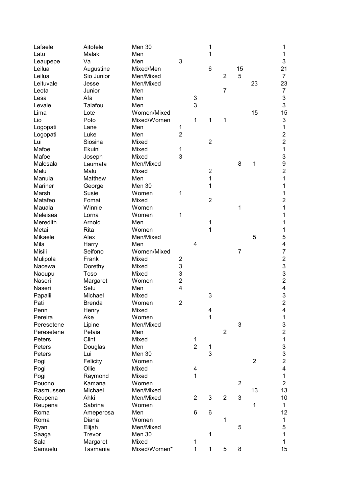| 1<br>Latu<br>Malaki<br>Men<br>$\mathbf{1}$<br>3<br>3<br>Men<br>Va<br>Leaupepe<br>15<br>Augustine<br>Mixed/Men<br>6<br>21<br>Leilua<br>$\overline{2}$<br>5<br>Leilua<br>Sio Junior<br>Men/Mixed<br>$\overline{7}$<br>23<br>23<br>Leituvale<br>Men/Mixed<br>Jesse<br>7<br>$\overline{7}$<br>Leota<br>Junior<br>Men<br>3<br>Afa<br>Men<br>3<br>Lesa<br>3<br>3<br>Talafou<br>Men<br>Levale<br>Lote<br>Women/Mixed<br>15<br>15<br>Lima<br>3<br>Lio<br>Mixed/Women<br>1<br>1<br>Poto<br>1<br>1<br>Logopati<br>Men<br>1<br>Lane<br>$\overline{2}$<br>$\overline{\mathbf{c}}$<br>Luke<br>Logopati<br>Men<br>$\overline{c}$<br>$\overline{2}$<br>Siosina<br>Mixed<br>Lui<br>1<br>Mafoe<br>Ekuini<br>1<br>Mixed<br>3<br>3<br>Mafoe<br>Mixed<br>Joseph<br>9<br>Men/Mixed<br>8<br>1<br>Malesala<br>Laumata<br>$\overline{c}$<br>$\overline{2}$<br>Malu<br>Malu<br>Mixed<br>1<br>1<br>Matthew<br>Manula<br>Men<br>1<br>1<br>Mariner<br>Men 30<br>George<br>Susie<br>Women<br>1<br>1<br>Marsh<br>$\overline{2}$<br>$\overline{2}$<br>Matafeo<br>Fomai<br>Mixed<br>1<br>Winnie<br>Women<br>1<br>Mauala<br>Meleisea<br>Women<br>1<br>1<br>Lorna<br>Men<br>1<br>Meredith<br>Arnold<br>1<br>1<br>Metai<br>Rita<br>Women<br>1<br>5<br>Mikaele<br>Alex<br>Men/Mixed<br>5<br>4<br>Mila<br>4<br>Harry<br>Men<br>7<br>Misili<br>Seifono<br>Women/Mixed<br>$\overline{7}$<br>$\overline{c}$<br>Mulipola<br>Frank<br>Mixed<br>$\overline{2}$<br>3<br>3<br>Nacewa<br>Dorethy<br>Mixed<br>3<br>3<br>Toso<br>Mixed<br>Naoupu<br>$\overline{2}$<br>$\overline{2}$<br>Naseri<br>Women<br>Margaret<br>4<br>4<br>Setu<br>Men<br>Naseri<br>3<br>Michael<br>Mixed<br>3<br>Papalii<br>$\overline{c}$<br>$\overline{2}$<br>Pati<br><b>Brenda</b><br>Women<br>4<br>Penn<br>Henry<br>Mixed<br>4<br>1<br>Ake<br>1<br>Women<br>Pereira<br>3<br>3<br>Men/Mixed<br>Peresetene<br>Lipine<br>$\overline{c}$<br>$\overline{2}$<br>Petaia<br>Peresetene<br>Men<br>Clint<br>$\mathbf 1$<br>Peters<br>Mixed<br>1<br>$\overline{2}$<br>3<br>Peters<br>Douglas<br>Men<br>$\mathbf 1$<br>3<br>3<br>Peters<br>Lui<br>Men 30<br>$\overline{2}$<br>$\overline{2}$<br>Women<br>Pogi<br>Felicity<br>4<br>Ollie<br>4<br>Pogi<br>Mixed<br>1<br>Mixed<br>$\mathbf{1}$<br>Pogi<br>Raymond<br>$\overline{2}$<br>$\overline{2}$<br>Women<br>Kamana<br>Pouono<br>13<br>Michael<br>Men/Mixed<br>13<br>Rasmussen<br>$\overline{2}$<br>3<br>Ahki<br>Men/Mixed<br>$\overline{2}$<br>3<br>10<br>Reupena<br>$\mathbf{1}$<br>Sabrina<br>Women<br>Reupena<br>1<br>6<br>12<br>Men<br>6<br>Roma<br>Ameperosa<br>Diana<br>Women<br>1<br>$\mathbf{1}$<br>Roma<br>5<br>Elijah<br>Men/Mixed<br>5<br>Ryan<br>Men 30<br>$\mathbf{1}$<br>Trevor<br>1<br>Saaga<br>Sala<br>Margaret<br>Mixed<br>1<br>1<br>Mixed/Women*<br>$\mathbf{1}$<br>5<br>15<br>$\mathbf 1$<br>8<br>Samuelu<br>Tasmania | Lafaele | Aitofele | Men 30 |  | 1 |  | 1 |
|------------------------------------------------------------------------------------------------------------------------------------------------------------------------------------------------------------------------------------------------------------------------------------------------------------------------------------------------------------------------------------------------------------------------------------------------------------------------------------------------------------------------------------------------------------------------------------------------------------------------------------------------------------------------------------------------------------------------------------------------------------------------------------------------------------------------------------------------------------------------------------------------------------------------------------------------------------------------------------------------------------------------------------------------------------------------------------------------------------------------------------------------------------------------------------------------------------------------------------------------------------------------------------------------------------------------------------------------------------------------------------------------------------------------------------------------------------------------------------------------------------------------------------------------------------------------------------------------------------------------------------------------------------------------------------------------------------------------------------------------------------------------------------------------------------------------------------------------------------------------------------------------------------------------------------------------------------------------------------------------------------------------------------------------------------------------------------------------------------------------------------------------------------------------------------------------------------------------------------------------------------------------------------------------------------------------------------------------------------------------------------------------------------------------------------------------------------------------------------------------------------------------------------------------------------------------------------------------------------------------------------------------------------------------------------------------------------------------------------------------------------------------------------------------------------|---------|----------|--------|--|---|--|---|
|                                                                                                                                                                                                                                                                                                                                                                                                                                                                                                                                                                                                                                                                                                                                                                                                                                                                                                                                                                                                                                                                                                                                                                                                                                                                                                                                                                                                                                                                                                                                                                                                                                                                                                                                                                                                                                                                                                                                                                                                                                                                                                                                                                                                                                                                                                                                                                                                                                                                                                                                                                                                                                                                                                                                                                                                            |         |          |        |  |   |  |   |
|                                                                                                                                                                                                                                                                                                                                                                                                                                                                                                                                                                                                                                                                                                                                                                                                                                                                                                                                                                                                                                                                                                                                                                                                                                                                                                                                                                                                                                                                                                                                                                                                                                                                                                                                                                                                                                                                                                                                                                                                                                                                                                                                                                                                                                                                                                                                                                                                                                                                                                                                                                                                                                                                                                                                                                                                            |         |          |        |  |   |  |   |
|                                                                                                                                                                                                                                                                                                                                                                                                                                                                                                                                                                                                                                                                                                                                                                                                                                                                                                                                                                                                                                                                                                                                                                                                                                                                                                                                                                                                                                                                                                                                                                                                                                                                                                                                                                                                                                                                                                                                                                                                                                                                                                                                                                                                                                                                                                                                                                                                                                                                                                                                                                                                                                                                                                                                                                                                            |         |          |        |  |   |  |   |
|                                                                                                                                                                                                                                                                                                                                                                                                                                                                                                                                                                                                                                                                                                                                                                                                                                                                                                                                                                                                                                                                                                                                                                                                                                                                                                                                                                                                                                                                                                                                                                                                                                                                                                                                                                                                                                                                                                                                                                                                                                                                                                                                                                                                                                                                                                                                                                                                                                                                                                                                                                                                                                                                                                                                                                                                            |         |          |        |  |   |  |   |
|                                                                                                                                                                                                                                                                                                                                                                                                                                                                                                                                                                                                                                                                                                                                                                                                                                                                                                                                                                                                                                                                                                                                                                                                                                                                                                                                                                                                                                                                                                                                                                                                                                                                                                                                                                                                                                                                                                                                                                                                                                                                                                                                                                                                                                                                                                                                                                                                                                                                                                                                                                                                                                                                                                                                                                                                            |         |          |        |  |   |  |   |
|                                                                                                                                                                                                                                                                                                                                                                                                                                                                                                                                                                                                                                                                                                                                                                                                                                                                                                                                                                                                                                                                                                                                                                                                                                                                                                                                                                                                                                                                                                                                                                                                                                                                                                                                                                                                                                                                                                                                                                                                                                                                                                                                                                                                                                                                                                                                                                                                                                                                                                                                                                                                                                                                                                                                                                                                            |         |          |        |  |   |  |   |
|                                                                                                                                                                                                                                                                                                                                                                                                                                                                                                                                                                                                                                                                                                                                                                                                                                                                                                                                                                                                                                                                                                                                                                                                                                                                                                                                                                                                                                                                                                                                                                                                                                                                                                                                                                                                                                                                                                                                                                                                                                                                                                                                                                                                                                                                                                                                                                                                                                                                                                                                                                                                                                                                                                                                                                                                            |         |          |        |  |   |  |   |
|                                                                                                                                                                                                                                                                                                                                                                                                                                                                                                                                                                                                                                                                                                                                                                                                                                                                                                                                                                                                                                                                                                                                                                                                                                                                                                                                                                                                                                                                                                                                                                                                                                                                                                                                                                                                                                                                                                                                                                                                                                                                                                                                                                                                                                                                                                                                                                                                                                                                                                                                                                                                                                                                                                                                                                                                            |         |          |        |  |   |  |   |
|                                                                                                                                                                                                                                                                                                                                                                                                                                                                                                                                                                                                                                                                                                                                                                                                                                                                                                                                                                                                                                                                                                                                                                                                                                                                                                                                                                                                                                                                                                                                                                                                                                                                                                                                                                                                                                                                                                                                                                                                                                                                                                                                                                                                                                                                                                                                                                                                                                                                                                                                                                                                                                                                                                                                                                                                            |         |          |        |  |   |  |   |
|                                                                                                                                                                                                                                                                                                                                                                                                                                                                                                                                                                                                                                                                                                                                                                                                                                                                                                                                                                                                                                                                                                                                                                                                                                                                                                                                                                                                                                                                                                                                                                                                                                                                                                                                                                                                                                                                                                                                                                                                                                                                                                                                                                                                                                                                                                                                                                                                                                                                                                                                                                                                                                                                                                                                                                                                            |         |          |        |  |   |  |   |
|                                                                                                                                                                                                                                                                                                                                                                                                                                                                                                                                                                                                                                                                                                                                                                                                                                                                                                                                                                                                                                                                                                                                                                                                                                                                                                                                                                                                                                                                                                                                                                                                                                                                                                                                                                                                                                                                                                                                                                                                                                                                                                                                                                                                                                                                                                                                                                                                                                                                                                                                                                                                                                                                                                                                                                                                            |         |          |        |  |   |  |   |
|                                                                                                                                                                                                                                                                                                                                                                                                                                                                                                                                                                                                                                                                                                                                                                                                                                                                                                                                                                                                                                                                                                                                                                                                                                                                                                                                                                                                                                                                                                                                                                                                                                                                                                                                                                                                                                                                                                                                                                                                                                                                                                                                                                                                                                                                                                                                                                                                                                                                                                                                                                                                                                                                                                                                                                                                            |         |          |        |  |   |  |   |
|                                                                                                                                                                                                                                                                                                                                                                                                                                                                                                                                                                                                                                                                                                                                                                                                                                                                                                                                                                                                                                                                                                                                                                                                                                                                                                                                                                                                                                                                                                                                                                                                                                                                                                                                                                                                                                                                                                                                                                                                                                                                                                                                                                                                                                                                                                                                                                                                                                                                                                                                                                                                                                                                                                                                                                                                            |         |          |        |  |   |  |   |
|                                                                                                                                                                                                                                                                                                                                                                                                                                                                                                                                                                                                                                                                                                                                                                                                                                                                                                                                                                                                                                                                                                                                                                                                                                                                                                                                                                                                                                                                                                                                                                                                                                                                                                                                                                                                                                                                                                                                                                                                                                                                                                                                                                                                                                                                                                                                                                                                                                                                                                                                                                                                                                                                                                                                                                                                            |         |          |        |  |   |  |   |
|                                                                                                                                                                                                                                                                                                                                                                                                                                                                                                                                                                                                                                                                                                                                                                                                                                                                                                                                                                                                                                                                                                                                                                                                                                                                                                                                                                                                                                                                                                                                                                                                                                                                                                                                                                                                                                                                                                                                                                                                                                                                                                                                                                                                                                                                                                                                                                                                                                                                                                                                                                                                                                                                                                                                                                                                            |         |          |        |  |   |  |   |
|                                                                                                                                                                                                                                                                                                                                                                                                                                                                                                                                                                                                                                                                                                                                                                                                                                                                                                                                                                                                                                                                                                                                                                                                                                                                                                                                                                                                                                                                                                                                                                                                                                                                                                                                                                                                                                                                                                                                                                                                                                                                                                                                                                                                                                                                                                                                                                                                                                                                                                                                                                                                                                                                                                                                                                                                            |         |          |        |  |   |  |   |
|                                                                                                                                                                                                                                                                                                                                                                                                                                                                                                                                                                                                                                                                                                                                                                                                                                                                                                                                                                                                                                                                                                                                                                                                                                                                                                                                                                                                                                                                                                                                                                                                                                                                                                                                                                                                                                                                                                                                                                                                                                                                                                                                                                                                                                                                                                                                                                                                                                                                                                                                                                                                                                                                                                                                                                                                            |         |          |        |  |   |  |   |
|                                                                                                                                                                                                                                                                                                                                                                                                                                                                                                                                                                                                                                                                                                                                                                                                                                                                                                                                                                                                                                                                                                                                                                                                                                                                                                                                                                                                                                                                                                                                                                                                                                                                                                                                                                                                                                                                                                                                                                                                                                                                                                                                                                                                                                                                                                                                                                                                                                                                                                                                                                                                                                                                                                                                                                                                            |         |          |        |  |   |  |   |
|                                                                                                                                                                                                                                                                                                                                                                                                                                                                                                                                                                                                                                                                                                                                                                                                                                                                                                                                                                                                                                                                                                                                                                                                                                                                                                                                                                                                                                                                                                                                                                                                                                                                                                                                                                                                                                                                                                                                                                                                                                                                                                                                                                                                                                                                                                                                                                                                                                                                                                                                                                                                                                                                                                                                                                                                            |         |          |        |  |   |  |   |
|                                                                                                                                                                                                                                                                                                                                                                                                                                                                                                                                                                                                                                                                                                                                                                                                                                                                                                                                                                                                                                                                                                                                                                                                                                                                                                                                                                                                                                                                                                                                                                                                                                                                                                                                                                                                                                                                                                                                                                                                                                                                                                                                                                                                                                                                                                                                                                                                                                                                                                                                                                                                                                                                                                                                                                                                            |         |          |        |  |   |  |   |
|                                                                                                                                                                                                                                                                                                                                                                                                                                                                                                                                                                                                                                                                                                                                                                                                                                                                                                                                                                                                                                                                                                                                                                                                                                                                                                                                                                                                                                                                                                                                                                                                                                                                                                                                                                                                                                                                                                                                                                                                                                                                                                                                                                                                                                                                                                                                                                                                                                                                                                                                                                                                                                                                                                                                                                                                            |         |          |        |  |   |  |   |
|                                                                                                                                                                                                                                                                                                                                                                                                                                                                                                                                                                                                                                                                                                                                                                                                                                                                                                                                                                                                                                                                                                                                                                                                                                                                                                                                                                                                                                                                                                                                                                                                                                                                                                                                                                                                                                                                                                                                                                                                                                                                                                                                                                                                                                                                                                                                                                                                                                                                                                                                                                                                                                                                                                                                                                                                            |         |          |        |  |   |  |   |
|                                                                                                                                                                                                                                                                                                                                                                                                                                                                                                                                                                                                                                                                                                                                                                                                                                                                                                                                                                                                                                                                                                                                                                                                                                                                                                                                                                                                                                                                                                                                                                                                                                                                                                                                                                                                                                                                                                                                                                                                                                                                                                                                                                                                                                                                                                                                                                                                                                                                                                                                                                                                                                                                                                                                                                                                            |         |          |        |  |   |  |   |
|                                                                                                                                                                                                                                                                                                                                                                                                                                                                                                                                                                                                                                                                                                                                                                                                                                                                                                                                                                                                                                                                                                                                                                                                                                                                                                                                                                                                                                                                                                                                                                                                                                                                                                                                                                                                                                                                                                                                                                                                                                                                                                                                                                                                                                                                                                                                                                                                                                                                                                                                                                                                                                                                                                                                                                                                            |         |          |        |  |   |  |   |
|                                                                                                                                                                                                                                                                                                                                                                                                                                                                                                                                                                                                                                                                                                                                                                                                                                                                                                                                                                                                                                                                                                                                                                                                                                                                                                                                                                                                                                                                                                                                                                                                                                                                                                                                                                                                                                                                                                                                                                                                                                                                                                                                                                                                                                                                                                                                                                                                                                                                                                                                                                                                                                                                                                                                                                                                            |         |          |        |  |   |  |   |
|                                                                                                                                                                                                                                                                                                                                                                                                                                                                                                                                                                                                                                                                                                                                                                                                                                                                                                                                                                                                                                                                                                                                                                                                                                                                                                                                                                                                                                                                                                                                                                                                                                                                                                                                                                                                                                                                                                                                                                                                                                                                                                                                                                                                                                                                                                                                                                                                                                                                                                                                                                                                                                                                                                                                                                                                            |         |          |        |  |   |  |   |
|                                                                                                                                                                                                                                                                                                                                                                                                                                                                                                                                                                                                                                                                                                                                                                                                                                                                                                                                                                                                                                                                                                                                                                                                                                                                                                                                                                                                                                                                                                                                                                                                                                                                                                                                                                                                                                                                                                                                                                                                                                                                                                                                                                                                                                                                                                                                                                                                                                                                                                                                                                                                                                                                                                                                                                                                            |         |          |        |  |   |  |   |
|                                                                                                                                                                                                                                                                                                                                                                                                                                                                                                                                                                                                                                                                                                                                                                                                                                                                                                                                                                                                                                                                                                                                                                                                                                                                                                                                                                                                                                                                                                                                                                                                                                                                                                                                                                                                                                                                                                                                                                                                                                                                                                                                                                                                                                                                                                                                                                                                                                                                                                                                                                                                                                                                                                                                                                                                            |         |          |        |  |   |  |   |
|                                                                                                                                                                                                                                                                                                                                                                                                                                                                                                                                                                                                                                                                                                                                                                                                                                                                                                                                                                                                                                                                                                                                                                                                                                                                                                                                                                                                                                                                                                                                                                                                                                                                                                                                                                                                                                                                                                                                                                                                                                                                                                                                                                                                                                                                                                                                                                                                                                                                                                                                                                                                                                                                                                                                                                                                            |         |          |        |  |   |  |   |
|                                                                                                                                                                                                                                                                                                                                                                                                                                                                                                                                                                                                                                                                                                                                                                                                                                                                                                                                                                                                                                                                                                                                                                                                                                                                                                                                                                                                                                                                                                                                                                                                                                                                                                                                                                                                                                                                                                                                                                                                                                                                                                                                                                                                                                                                                                                                                                                                                                                                                                                                                                                                                                                                                                                                                                                                            |         |          |        |  |   |  |   |
|                                                                                                                                                                                                                                                                                                                                                                                                                                                                                                                                                                                                                                                                                                                                                                                                                                                                                                                                                                                                                                                                                                                                                                                                                                                                                                                                                                                                                                                                                                                                                                                                                                                                                                                                                                                                                                                                                                                                                                                                                                                                                                                                                                                                                                                                                                                                                                                                                                                                                                                                                                                                                                                                                                                                                                                                            |         |          |        |  |   |  |   |
|                                                                                                                                                                                                                                                                                                                                                                                                                                                                                                                                                                                                                                                                                                                                                                                                                                                                                                                                                                                                                                                                                                                                                                                                                                                                                                                                                                                                                                                                                                                                                                                                                                                                                                                                                                                                                                                                                                                                                                                                                                                                                                                                                                                                                                                                                                                                                                                                                                                                                                                                                                                                                                                                                                                                                                                                            |         |          |        |  |   |  |   |
|                                                                                                                                                                                                                                                                                                                                                                                                                                                                                                                                                                                                                                                                                                                                                                                                                                                                                                                                                                                                                                                                                                                                                                                                                                                                                                                                                                                                                                                                                                                                                                                                                                                                                                                                                                                                                                                                                                                                                                                                                                                                                                                                                                                                                                                                                                                                                                                                                                                                                                                                                                                                                                                                                                                                                                                                            |         |          |        |  |   |  |   |
|                                                                                                                                                                                                                                                                                                                                                                                                                                                                                                                                                                                                                                                                                                                                                                                                                                                                                                                                                                                                                                                                                                                                                                                                                                                                                                                                                                                                                                                                                                                                                                                                                                                                                                                                                                                                                                                                                                                                                                                                                                                                                                                                                                                                                                                                                                                                                                                                                                                                                                                                                                                                                                                                                                                                                                                                            |         |          |        |  |   |  |   |
|                                                                                                                                                                                                                                                                                                                                                                                                                                                                                                                                                                                                                                                                                                                                                                                                                                                                                                                                                                                                                                                                                                                                                                                                                                                                                                                                                                                                                                                                                                                                                                                                                                                                                                                                                                                                                                                                                                                                                                                                                                                                                                                                                                                                                                                                                                                                                                                                                                                                                                                                                                                                                                                                                                                                                                                                            |         |          |        |  |   |  |   |
|                                                                                                                                                                                                                                                                                                                                                                                                                                                                                                                                                                                                                                                                                                                                                                                                                                                                                                                                                                                                                                                                                                                                                                                                                                                                                                                                                                                                                                                                                                                                                                                                                                                                                                                                                                                                                                                                                                                                                                                                                                                                                                                                                                                                                                                                                                                                                                                                                                                                                                                                                                                                                                                                                                                                                                                                            |         |          |        |  |   |  |   |
|                                                                                                                                                                                                                                                                                                                                                                                                                                                                                                                                                                                                                                                                                                                                                                                                                                                                                                                                                                                                                                                                                                                                                                                                                                                                                                                                                                                                                                                                                                                                                                                                                                                                                                                                                                                                                                                                                                                                                                                                                                                                                                                                                                                                                                                                                                                                                                                                                                                                                                                                                                                                                                                                                                                                                                                                            |         |          |        |  |   |  |   |
|                                                                                                                                                                                                                                                                                                                                                                                                                                                                                                                                                                                                                                                                                                                                                                                                                                                                                                                                                                                                                                                                                                                                                                                                                                                                                                                                                                                                                                                                                                                                                                                                                                                                                                                                                                                                                                                                                                                                                                                                                                                                                                                                                                                                                                                                                                                                                                                                                                                                                                                                                                                                                                                                                                                                                                                                            |         |          |        |  |   |  |   |
|                                                                                                                                                                                                                                                                                                                                                                                                                                                                                                                                                                                                                                                                                                                                                                                                                                                                                                                                                                                                                                                                                                                                                                                                                                                                                                                                                                                                                                                                                                                                                                                                                                                                                                                                                                                                                                                                                                                                                                                                                                                                                                                                                                                                                                                                                                                                                                                                                                                                                                                                                                                                                                                                                                                                                                                                            |         |          |        |  |   |  |   |
|                                                                                                                                                                                                                                                                                                                                                                                                                                                                                                                                                                                                                                                                                                                                                                                                                                                                                                                                                                                                                                                                                                                                                                                                                                                                                                                                                                                                                                                                                                                                                                                                                                                                                                                                                                                                                                                                                                                                                                                                                                                                                                                                                                                                                                                                                                                                                                                                                                                                                                                                                                                                                                                                                                                                                                                                            |         |          |        |  |   |  |   |
|                                                                                                                                                                                                                                                                                                                                                                                                                                                                                                                                                                                                                                                                                                                                                                                                                                                                                                                                                                                                                                                                                                                                                                                                                                                                                                                                                                                                                                                                                                                                                                                                                                                                                                                                                                                                                                                                                                                                                                                                                                                                                                                                                                                                                                                                                                                                                                                                                                                                                                                                                                                                                                                                                                                                                                                                            |         |          |        |  |   |  |   |
|                                                                                                                                                                                                                                                                                                                                                                                                                                                                                                                                                                                                                                                                                                                                                                                                                                                                                                                                                                                                                                                                                                                                                                                                                                                                                                                                                                                                                                                                                                                                                                                                                                                                                                                                                                                                                                                                                                                                                                                                                                                                                                                                                                                                                                                                                                                                                                                                                                                                                                                                                                                                                                                                                                                                                                                                            |         |          |        |  |   |  |   |
|                                                                                                                                                                                                                                                                                                                                                                                                                                                                                                                                                                                                                                                                                                                                                                                                                                                                                                                                                                                                                                                                                                                                                                                                                                                                                                                                                                                                                                                                                                                                                                                                                                                                                                                                                                                                                                                                                                                                                                                                                                                                                                                                                                                                                                                                                                                                                                                                                                                                                                                                                                                                                                                                                                                                                                                                            |         |          |        |  |   |  |   |
|                                                                                                                                                                                                                                                                                                                                                                                                                                                                                                                                                                                                                                                                                                                                                                                                                                                                                                                                                                                                                                                                                                                                                                                                                                                                                                                                                                                                                                                                                                                                                                                                                                                                                                                                                                                                                                                                                                                                                                                                                                                                                                                                                                                                                                                                                                                                                                                                                                                                                                                                                                                                                                                                                                                                                                                                            |         |          |        |  |   |  |   |
|                                                                                                                                                                                                                                                                                                                                                                                                                                                                                                                                                                                                                                                                                                                                                                                                                                                                                                                                                                                                                                                                                                                                                                                                                                                                                                                                                                                                                                                                                                                                                                                                                                                                                                                                                                                                                                                                                                                                                                                                                                                                                                                                                                                                                                                                                                                                                                                                                                                                                                                                                                                                                                                                                                                                                                                                            |         |          |        |  |   |  |   |
|                                                                                                                                                                                                                                                                                                                                                                                                                                                                                                                                                                                                                                                                                                                                                                                                                                                                                                                                                                                                                                                                                                                                                                                                                                                                                                                                                                                                                                                                                                                                                                                                                                                                                                                                                                                                                                                                                                                                                                                                                                                                                                                                                                                                                                                                                                                                                                                                                                                                                                                                                                                                                                                                                                                                                                                                            |         |          |        |  |   |  |   |
|                                                                                                                                                                                                                                                                                                                                                                                                                                                                                                                                                                                                                                                                                                                                                                                                                                                                                                                                                                                                                                                                                                                                                                                                                                                                                                                                                                                                                                                                                                                                                                                                                                                                                                                                                                                                                                                                                                                                                                                                                                                                                                                                                                                                                                                                                                                                                                                                                                                                                                                                                                                                                                                                                                                                                                                                            |         |          |        |  |   |  |   |
|                                                                                                                                                                                                                                                                                                                                                                                                                                                                                                                                                                                                                                                                                                                                                                                                                                                                                                                                                                                                                                                                                                                                                                                                                                                                                                                                                                                                                                                                                                                                                                                                                                                                                                                                                                                                                                                                                                                                                                                                                                                                                                                                                                                                                                                                                                                                                                                                                                                                                                                                                                                                                                                                                                                                                                                                            |         |          |        |  |   |  |   |
|                                                                                                                                                                                                                                                                                                                                                                                                                                                                                                                                                                                                                                                                                                                                                                                                                                                                                                                                                                                                                                                                                                                                                                                                                                                                                                                                                                                                                                                                                                                                                                                                                                                                                                                                                                                                                                                                                                                                                                                                                                                                                                                                                                                                                                                                                                                                                                                                                                                                                                                                                                                                                                                                                                                                                                                                            |         |          |        |  |   |  |   |
|                                                                                                                                                                                                                                                                                                                                                                                                                                                                                                                                                                                                                                                                                                                                                                                                                                                                                                                                                                                                                                                                                                                                                                                                                                                                                                                                                                                                                                                                                                                                                                                                                                                                                                                                                                                                                                                                                                                                                                                                                                                                                                                                                                                                                                                                                                                                                                                                                                                                                                                                                                                                                                                                                                                                                                                                            |         |          |        |  |   |  |   |
|                                                                                                                                                                                                                                                                                                                                                                                                                                                                                                                                                                                                                                                                                                                                                                                                                                                                                                                                                                                                                                                                                                                                                                                                                                                                                                                                                                                                                                                                                                                                                                                                                                                                                                                                                                                                                                                                                                                                                                                                                                                                                                                                                                                                                                                                                                                                                                                                                                                                                                                                                                                                                                                                                                                                                                                                            |         |          |        |  |   |  |   |
|                                                                                                                                                                                                                                                                                                                                                                                                                                                                                                                                                                                                                                                                                                                                                                                                                                                                                                                                                                                                                                                                                                                                                                                                                                                                                                                                                                                                                                                                                                                                                                                                                                                                                                                                                                                                                                                                                                                                                                                                                                                                                                                                                                                                                                                                                                                                                                                                                                                                                                                                                                                                                                                                                                                                                                                                            |         |          |        |  |   |  |   |
|                                                                                                                                                                                                                                                                                                                                                                                                                                                                                                                                                                                                                                                                                                                                                                                                                                                                                                                                                                                                                                                                                                                                                                                                                                                                                                                                                                                                                                                                                                                                                                                                                                                                                                                                                                                                                                                                                                                                                                                                                                                                                                                                                                                                                                                                                                                                                                                                                                                                                                                                                                                                                                                                                                                                                                                                            |         |          |        |  |   |  |   |
|                                                                                                                                                                                                                                                                                                                                                                                                                                                                                                                                                                                                                                                                                                                                                                                                                                                                                                                                                                                                                                                                                                                                                                                                                                                                                                                                                                                                                                                                                                                                                                                                                                                                                                                                                                                                                                                                                                                                                                                                                                                                                                                                                                                                                                                                                                                                                                                                                                                                                                                                                                                                                                                                                                                                                                                                            |         |          |        |  |   |  |   |
|                                                                                                                                                                                                                                                                                                                                                                                                                                                                                                                                                                                                                                                                                                                                                                                                                                                                                                                                                                                                                                                                                                                                                                                                                                                                                                                                                                                                                                                                                                                                                                                                                                                                                                                                                                                                                                                                                                                                                                                                                                                                                                                                                                                                                                                                                                                                                                                                                                                                                                                                                                                                                                                                                                                                                                                                            |         |          |        |  |   |  |   |